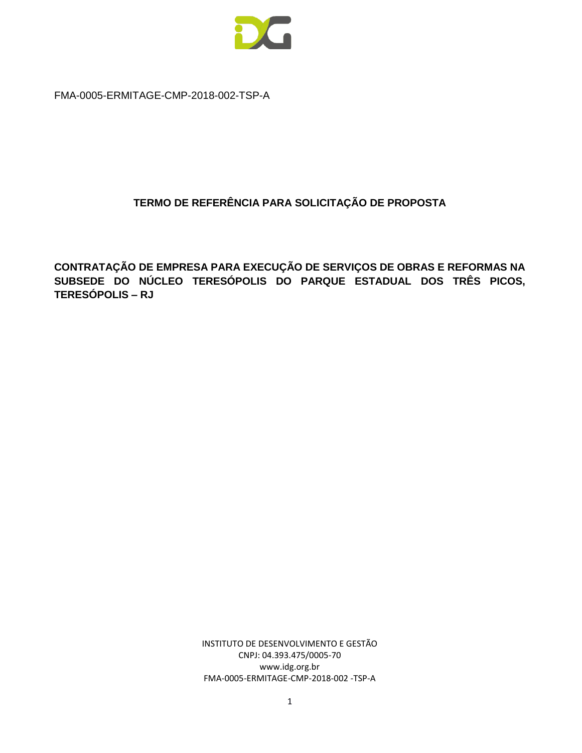

FMA-0005-ERMITAGE-CMP-2018-002-TSP-A

# **TERMO DE REFERÊNCIA PARA SOLICITAÇÃO DE PROPOSTA**

**CONTRATAÇÃO DE EMPRESA PARA EXECUÇÃO DE SERVIÇOS DE OBRAS E REFORMAS NA SUBSEDE DO NÚCLEO TERESÓPOLIS DO PARQUE ESTADUAL DOS TRÊS PICOS, TERESÓPOLIS – RJ**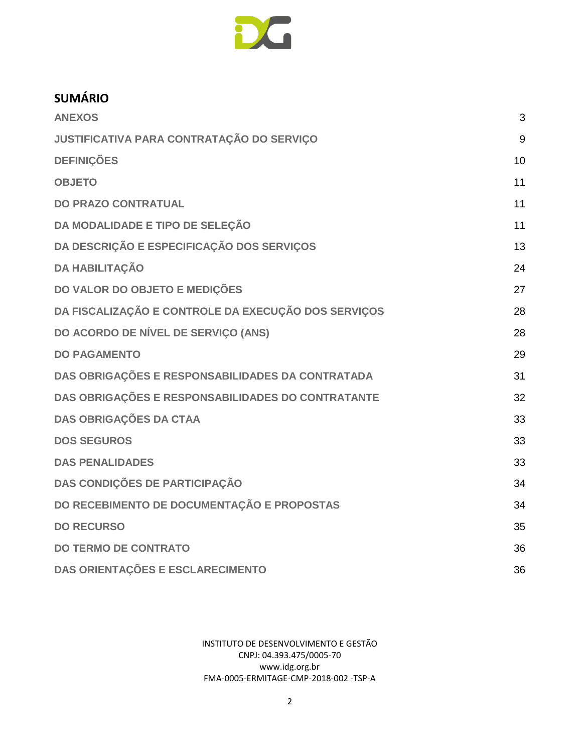

# **SUMÁRIO**

| <b>ANEXOS</b>                                       | 3  |
|-----------------------------------------------------|----|
| JUSTIFICATIVA PARA CONTRATAÇÃO DO SERVIÇO           | 9  |
| <b>DEFINIÇÕES</b>                                   | 10 |
| <b>OBJETO</b>                                       | 11 |
| <b>DO PRAZO CONTRATUAL</b>                          | 11 |
| DA MODALIDADE E TIPO DE SELEÇÃO                     | 11 |
| DA DESCRIÇÃO E ESPECIFICAÇÃO DOS SERVIÇOS           | 13 |
| <b>DA HABILITAÇÃO</b>                               | 24 |
| DO VALOR DO OBJETO E MEDIÇÕES                       | 27 |
| DA FISCALIZAÇÃO E CONTROLE DA EXECUÇÃO DOS SERVIÇOS | 28 |
| DO ACORDO DE NÍVEL DE SERVIÇO (ANS)                 | 28 |
| <b>DO PAGAMENTO</b>                                 | 29 |
| DAS OBRIGAÇÕES E RESPONSABILIDADES DA CONTRATADA    | 31 |
| DAS OBRIGAÇÕES E RESPONSABILIDADES DO CONTRATANTE   | 32 |
| <b>DAS OBRIGAÇÕES DA CTAA</b>                       | 33 |
| <b>DOS SEGUROS</b>                                  | 33 |
| <b>DAS PENALIDADES</b>                              | 33 |
| DAS CONDIÇÕES DE PARTICIPAÇÃO                       | 34 |
| DO RECEBIMENTO DE DOCUMENTAÇÃO E PROPOSTAS          | 34 |
| <b>DO RECURSO</b>                                   | 35 |
| <b>DO TERMO DE CONTRATO</b>                         | 36 |
| DAS ORIENTAÇÕES E ESCLARECIMENTO                    | 36 |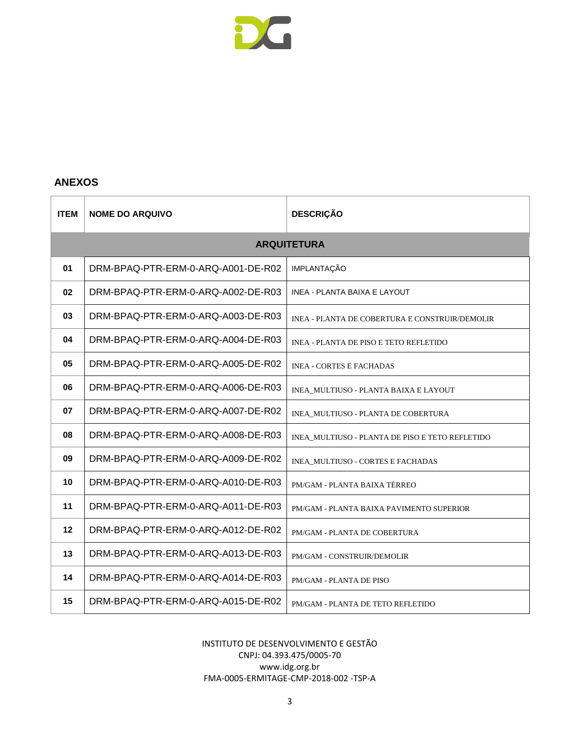

#### <span id="page-2-0"></span>**ANEXOS**

| <b>ITEM</b> | <b>NOME DO ARQUIVO</b>             | <b>DESCRIÇÃO</b>                                |  |
|-------------|------------------------------------|-------------------------------------------------|--|
|             |                                    | <b>ARQUITETURA</b>                              |  |
| 01          | DRM-BPAQ-PTR-ERM-0-ARQ-A001-DE-R02 | <b>IMPLANTAÇÃO</b>                              |  |
| 02          | DRM-BPAQ-PTR-ERM-0-ARQ-A002-DE-R03 | <b>INEA - PLANTA BAIXA E LAYOUT</b>             |  |
| 03          | DRM-BPAQ-PTR-ERM-0-ARQ-A003-DE-R03 | INEA - PLANTA DE COBERTURA E CONSTRUIR/DEMOLIR  |  |
| 04          | DRM-BPAQ-PTR-ERM-0-ARQ-A004-DE-R03 | INEA - PLANTA DE PISO E TETO REFLETIDO          |  |
| 05          | DRM-BPAQ-PTR-ERM-0-ARQ-A005-DE-R02 | <b>INEA - CORTES E FACHADAS</b>                 |  |
| 06          | DRM-BPAQ-PTR-ERM-0-ARQ-A006-DE-R03 | INEA_MULTIUSO - PLANTA BAIXA E LAYOUT           |  |
| 07          | DRM-BPAQ-PTR-ERM-0-ARQ-A007-DE-R02 | INEA_MULTIUSO - PLANTA DE COBERTURA             |  |
| 08          | DRM-BPAQ-PTR-ERM-0-ARQ-A008-DE-R03 | INEA_MULTIUSO - PLANTA DE PISO E TETO REFLETIDO |  |
| 09          | DRM-BPAQ-PTR-ERM-0-ARQ-A009-DE-R02 | INEA_MULTIUSO - CORTES E FACHADAS               |  |
| 10          | DRM-BPAQ-PTR-ERM-0-ARQ-A010-DE-R03 | PM/GAM - PLANTA BAIXA TÉRREO                    |  |
| 11          | DRM-BPAQ-PTR-ERM-0-ARQ-A011-DE-R03 | PM/GAM - PLANTA BAIXA PAVIMENTO SUPERIOR        |  |
| 12          | DRM-BPAQ-PTR-ERM-0-ARQ-A012-DE-R02 | PM/GAM - PLANTA DE COBERTURA                    |  |
| 13          | DRM-BPAQ-PTR-ERM-0-ARQ-A013-DE-R03 | PM/GAM - CONSTRUIR/DEMOLIR                      |  |
| 14          | DRM-BPAQ-PTR-ERM-0-ARQ-A014-DE-R03 | PM/GAM - PLANTA DE PISO                         |  |
| 15          | DRM-BPAQ-PTR-ERM-0-ARQ-A015-DE-R02 | PM/GAM - PLANTA DE TETO REFLETIDO               |  |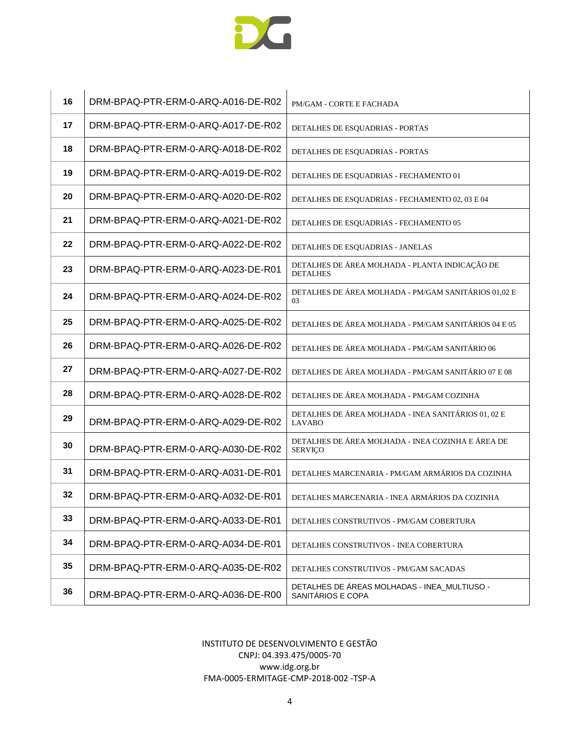

| 16 | DRM-BPAQ-PTR-ERM-0-ARQ-A016-DE-R02 | PM/GAM - CORTE E FACHADA                                             |
|----|------------------------------------|----------------------------------------------------------------------|
| 17 | DRM-BPAQ-PTR-ERM-0-ARQ-A017-DE-R02 | DETALHES DE ESQUADRIAS - PORTAS                                      |
| 18 | DRM-BPAQ-PTR-ERM-0-ARQ-A018-DE-R02 | DETALHES DE ESQUADRIAS - PORTAS                                      |
| 19 | DRM-BPAQ-PTR-ERM-0-ARQ-A019-DE-R02 | DETALHES DE ESQUADRIAS - FECHAMENTO 01                               |
| 20 | DRM-BPAQ-PTR-ERM-0-ARQ-A020-DE-R02 | DETALHES DE ESQUADRIAS - FECHAMENTO 02, 03 E 04                      |
| 21 | DRM-BPAQ-PTR-ERM-0-ARQ-A021-DE-R02 | DETALHES DE ESQUADRIAS - FECHAMENTO 05                               |
| 22 | DRM-BPAQ-PTR-ERM-0-ARQ-A022-DE-R02 | DETALHES DE ESQUADRIAS - JANELAS                                     |
| 23 | DRM-BPAQ-PTR-ERM-0-ARQ-A023-DE-R01 | DETALHES DE ÁREA MOLHADA - PLANTA INDICAÇÃO DE<br><b>DETALHES</b>    |
| 24 | DRM-BPAQ-PTR-ERM-0-ARQ-A024-DE-R02 | DETALHES DE ÁREA MOLHADA - PM/GAM SANITÁRIOS 01,02 E<br>03           |
| 25 | DRM-BPAQ-PTR-ERM-0-ARQ-A025-DE-R02 | DETALHES DE ÁREA MOLHADA - PM/GAM SANITÁRIOS 04 E 05                 |
| 26 | DRM-BPAQ-PTR-ERM-0-ARQ-A026-DE-R02 | DETALHES DE ÁREA MOLHADA - PM/GAM SANITÁRIO 06                       |
| 27 | DRM-BPAQ-PTR-ERM-0-ARQ-A027-DE-R02 | DETALHES DE ÁREA MOLHADA - PM/GAM SANITÁRIO 07 E 08                  |
| 28 | DRM-BPAQ-PTR-ERM-0-ARQ-A028-DE-R02 | DETALHES DE ÁREA MOLHADA - PM/GAM COZINHA                            |
| 29 | DRM-BPAQ-PTR-ERM-0-ARQ-A029-DE-R02 | DETALHES DE ÁREA MOLHADA - INEA SANITÁRIOS 01, 02 E<br><b>LAVABO</b> |
| 30 | DRM-BPAQ-PTR-ERM-0-ARQ-A030-DE-R02 | DETALHES DE ÁREA MOLHADA - INEA COZINHA E ÁREA DE<br><b>SERVIÇO</b>  |
| 31 | DRM-BPAQ-PTR-ERM-0-ARQ-A031-DE-R01 | DETALHES MARCENARIA - PM/GAM ARMÁRIOS DA COZINHA                     |
| 32 | DRM-BPAQ-PTR-ERM-0-ARQ-A032-DE-R01 | DETALHES MARCENARIA - INEA ARMÁRIOS DA COZINHA                       |
| 33 | DRM-BPAQ-PTR-ERM-0-ARQ-A033-DE-R01 | DETALHES CONSTRUTIVOS - PM/GAM COBERTURA                             |
| 34 | DRM-BPAQ-PTR-ERM-0-ARQ-A034-DE-R01 | DETALHES CONSTRUTIVOS - INEA COBERTURA                               |
| 35 | DRM-BPAQ-PTR-ERM-0-ARQ-A035-DE-R02 | DETALHES CONSTRUTIVOS - PM/GAM SACADAS                               |
| 36 | DRM-BPAQ-PTR-ERM-0-ARQ-A036-DE-R00 | DETALHES DE ÁREAS MOLHADAS - INEA_MULTIUSO -<br>SANITÁRIOS E COPA    |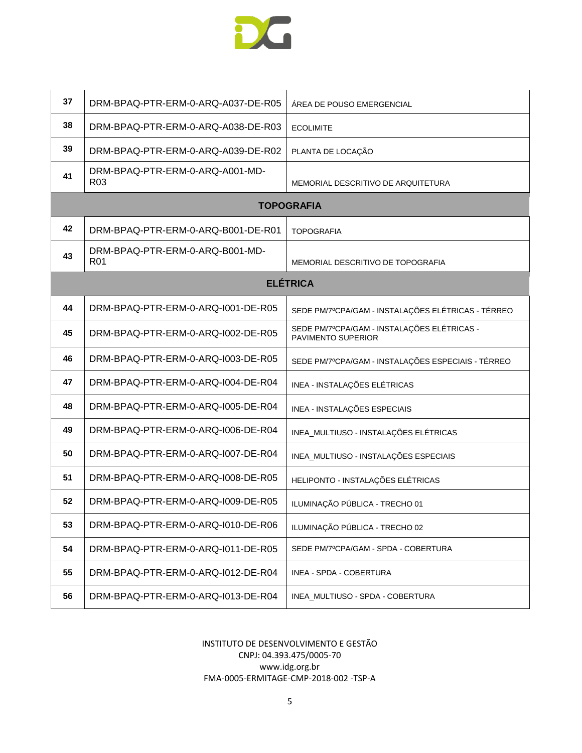

| 37 | DRM-BPAQ-PTR-ERM-0-ARQ-A037-DE-R05                 | ÁREA DE POUSO EMERGENCIAL                                         |
|----|----------------------------------------------------|-------------------------------------------------------------------|
| 38 | DRM-BPAQ-PTR-ERM-0-ARQ-A038-DE-R03                 | <b>ECOLIMITE</b>                                                  |
| 39 | DRM-BPAQ-PTR-ERM-0-ARQ-A039-DE-R02                 | PLANTA DE LOCAÇÃO                                                 |
| 41 | DRM-BPAQ-PTR-ERM-0-ARQ-A001-MD-<br>R <sub>03</sub> | MEMORIAL DESCRITIVO DE ARQUITETURA                                |
|    |                                                    | <b>TOPOGRAFIA</b>                                                 |
| 42 | DRM-BPAQ-PTR-ERM-0-ARQ-B001-DE-R01                 | <b>TOPOGRAFIA</b>                                                 |
| 43 | DRM-BPAQ-PTR-ERM-0-ARQ-B001-MD-<br>R <sub>01</sub> | MEMORIAL DESCRITIVO DE TOPOGRAFIA                                 |
|    |                                                    | <b>ELÉTRICA</b>                                                   |
| 44 | DRM-BPAQ-PTR-ERM-0-ARQ-I001-DE-R05                 | SEDE PM/7ºCPA/GAM - INSTALAÇÕES ELÉTRICAS - TÉRREO                |
| 45 | DRM-BPAQ-PTR-ERM-0-ARQ-I002-DE-R05                 | SEDE PM/7ºCPA/GAM - INSTALAÇÕES ELÉTRICAS -<br>PAVIMENTO SUPERIOR |
| 46 | DRM-BPAQ-PTR-ERM-0-ARQ-1003-DE-R05                 | SEDE PM/7ºCPA/GAM - INSTALAÇÕES ESPECIAIS - TÉRREO                |
| 47 | DRM-BPAQ-PTR-ERM-0-ARQ-1004-DE-R04                 | INEA - INSTALAÇÕES ELÉTRICAS                                      |
| 48 | DRM-BPAQ-PTR-ERM-0-ARQ-1005-DE-R04                 | INEA - INSTALAÇÕES ESPECIAIS                                      |
| 49 | DRM-BPAQ-PTR-ERM-0-ARQ-I006-DE-R04                 | INEA_MULTIUSO - INSTALAÇÕES ELÉTRICAS                             |
| 50 | DRM-BPAQ-PTR-ERM-0-ARQ-I007-DE-R04                 | INEA_MULTIUSO - INSTALAÇÕES ESPECIAIS                             |
| 51 | DRM-BPAQ-PTR-ERM-0-ARQ-1008-DE-R05                 | HELIPONTO - INSTALAÇÕES ELÉTRICAS                                 |
| 52 | DRM-BPAQ-PTR-ERM-0-ARQ-1009-DE-R05                 | ILUMINAÇÃO PÚBLICA - TRECHO 01                                    |
| 53 | DRM-BPAQ-PTR-ERM-0-ARQ-I010-DE-R06                 | ILUMINAÇÃO PÚBLICA - TRECHO 02                                    |
| 54 | DRM-BPAQ-PTR-ERM-0-ARQ-I011-DE-R05                 | SEDE PM/7ºCPA/GAM - SPDA - COBERTURA                              |
| 55 | DRM-BPAQ-PTR-ERM-0-ARQ-1012-DE-R04                 | INEA - SPDA - COBERTURA                                           |
| 56 | DRM-BPAQ-PTR-ERM-0-ARQ-I013-DE-R04                 | INEA_MULTIUSO - SPDA - COBERTURA                                  |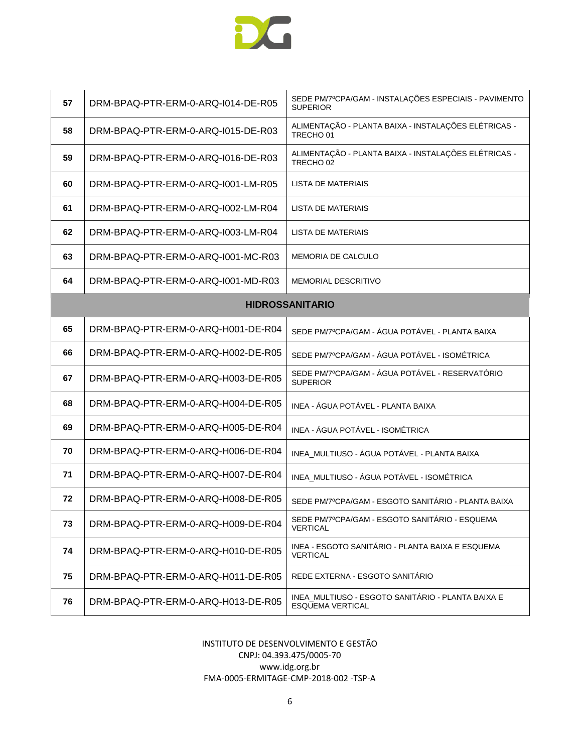

| 57 | DRM-BPAQ-PTR-ERM-0-ARQ-I014-DE-R05 | SEDE PM/7ºCPA/GAM - INSTALAÇÕES ESPECIAIS - PAVIMENTO<br><b>SUPERIOR</b>     |
|----|------------------------------------|------------------------------------------------------------------------------|
| 58 | DRM-BPAQ-PTR-ERM-0-ARQ-1015-DE-R03 | ALIMENTAÇÃO - PLANTA BAIXA - INSTALAÇÕES ELÉTRICAS -<br>TRECHO <sub>01</sub> |
| 59 | DRM-BPAQ-PTR-ERM-0-ARQ-I016-DE-R03 | ALIMENTAÇÃO - PLANTA BAIXA - INSTALAÇÕES ELÉTRICAS -<br>TRECHO <sub>02</sub> |
| 60 | DRM-BPAQ-PTR-ERM-0-ARQ-I001-LM-R05 | LISTA DE MATERIAIS                                                           |
| 61 | DRM-BPAQ-PTR-ERM-0-ARQ-I002-LM-R04 | LISTA DE MATERIAIS                                                           |
| 62 | DRM-BPAQ-PTR-ERM-0-ARQ-1003-LM-R04 | LISTA DE MATERIAIS                                                           |
| 63 | DRM-BPAQ-PTR-ERM-0-ARQ-1001-MC-R03 | MEMORIA DE CALCULO                                                           |
| 64 | DRM-BPAQ-PTR-ERM-0-ARQ-I001-MD-R03 | <b>MEMORIAL DESCRITIVO</b>                                                   |
|    |                                    | <b>HIDROSSANITARIO</b>                                                       |
| 65 | DRM-BPAQ-PTR-ERM-0-ARQ-H001-DE-R04 | SEDE PM/7ºCPA/GAM - ÁGUA POTÁVEL - PLANTA BAIXA                              |
| 66 | DRM-BPAQ-PTR-ERM-0-ARQ-H002-DE-R05 | SEDE PM/7ºCPA/GAM - ÁGUA POTÁVEL - ISOMÉTRICA                                |
| 67 | DRM-BPAQ-PTR-ERM-0-ARQ-H003-DE-R05 | SEDE PM/7ºCPA/GAM - ÁGUA POTÁVEL - RESERVATÓRIO<br><b>SUPERIOR</b>           |
| 68 | DRM-BPAQ-PTR-ERM-0-ARQ-H004-DE-R05 | INEA - ÁGUA POTÁVEL - PLANTA BAIXA                                           |
| 69 | DRM-BPAQ-PTR-ERM-0-ARQ-H005-DE-R04 | INEA - ÁGUA POTÁVEL - ISOMÉTRICA                                             |
| 70 | DRM-BPAQ-PTR-ERM-0-ARQ-H006-DE-R04 | INEA_MULTIUSO - ÁGUA POTÁVEL - PLANTA BAIXA                                  |
| 71 | DRM-BPAQ-PTR-ERM-0-ARQ-H007-DE-R04 | INEA_MULTIUSO - ÁGUA POTÁVEL - ISOMÉTRICA                                    |
| 72 | DRM-BPAQ-PTR-ERM-0-ARQ-H008-DE-R05 | SEDE PM/7ºCPA/GAM - ESGOTO SANITÁRIO - PLANTA BAIXA                          |
| 73 | DRM-BPAQ-PTR-ERM-0-ARQ-H009-DE-R04 | SEDE PM/7ºCPA/GAM - ESGOTO SANITARIO - ESQUEMA<br><b>VERTICAL</b>            |
| 74 | DRM-BPAQ-PTR-ERM-0-ARQ-H010-DE-R05 | INEA - ESGOTO SANITÁRIO - PLANTA BAIXA E ESQUEMA<br><b>VERTICAL</b>          |
| 75 | DRM-BPAQ-PTR-ERM-0-ARQ-H011-DE-R05 | REDE EXTERNA - ESGOTO SANITARIO                                              |
| 76 | DRM-BPAQ-PTR-ERM-0-ARQ-H013-DE-R05 | INEA_MULTIUSO - ESGOTO SANITÁRIO - PLANTA BAIXA E<br><b>ESQUEMA VERTICAL</b> |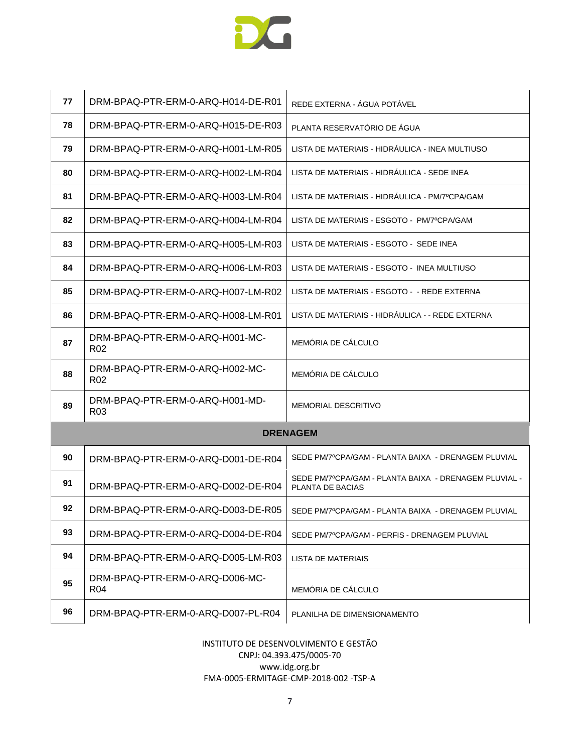

| 77 | DRM-BPAQ-PTR-ERM-0-ARQ-H014-DE-R01                 | REDE EXTERNA - ÁGUA POTÁVEL                                               |
|----|----------------------------------------------------|---------------------------------------------------------------------------|
| 78 | DRM-BPAQ-PTR-ERM-0-ARQ-H015-DE-R03                 | PLANTA RESERVATÓRIO DE ÁGUA                                               |
| 79 | DRM-BPAQ-PTR-ERM-0-ARQ-H001-LM-R05                 | LISTA DE MATERIAIS - HIDRÁULICA - INEA MULTIUSO                           |
| 80 | DRM-BPAQ-PTR-ERM-0-ARQ-H002-LM-R04                 | LISTA DE MATERIAIS - HIDRAULICA - SEDE INEA                               |
| 81 | DRM-BPAQ-PTR-ERM-0-ARQ-H003-LM-R04                 | LISTA DE MATERIAIS - HIDRAULICA - PM/7ºCPA/GAM                            |
| 82 | DRM-BPAQ-PTR-ERM-0-ARQ-H004-LM-R04                 | LISTA DE MATERIAIS - ESGOTO - PM/7ºCPA/GAM                                |
| 83 | DRM-BPAQ-PTR-ERM-0-ARQ-H005-LM-R03                 | LISTA DE MATERIAIS - ESGOTO - SEDE INEA                                   |
| 84 | DRM-BPAQ-PTR-ERM-0-ARQ-H006-LM-R03                 | LISTA DE MATERIAIS - ESGOTO - INEA MULTIUSO                               |
| 85 | DRM-BPAQ-PTR-ERM-0-ARQ-H007-LM-R02                 | LISTA DE MATERIAIS - ESGOTO - - REDE EXTERNA                              |
| 86 | DRM-BPAQ-PTR-ERM-0-ARQ-H008-LM-R01                 | LISTA DE MATERIAIS - HIDRÁULICA - - REDE EXTERNA                          |
| 87 | DRM-BPAQ-PTR-ERM-0-ARQ-H001-MC-<br>R <sub>02</sub> | MEMÓRIA DE CÁLCULO                                                        |
| 88 | DRM-BPAQ-PTR-ERM-0-ARQ-H002-MC-<br>R <sub>02</sub> | MEMÓRIA DE CÁLCULO                                                        |
| 89 | DRM-BPAQ-PTR-ERM-0-ARQ-H001-MD-<br>R <sub>03</sub> | <b>MEMORIAL DESCRITIVO</b>                                                |
|    |                                                    | <b>DRENAGEM</b>                                                           |
| 90 | DRM-BPAQ-PTR-ERM-0-ARQ-D001-DE-R04                 | SEDE PM/7ºCPA/GAM - PLANTA BAIXA - DRENAGEM PLUVIAL                       |
| 91 | DRM-BPAQ-PTR-ERM-0-ARQ-D002-DE-R04                 | SEDE PM/7ºCPA/GAM - PLANTA BAIXA - DRENAGEM PLUVIAL -<br>PLANTA DE BACIAS |
| 92 | DRM-BPAQ-PTR-ERM-0-ARQ-D003-DE-R05                 | SEDE PM/7ºCPA/GAM - PLANTA BAIXA - DRENAGEM PLUVIAL                       |
| 93 | DRM-BPAQ-PTR-ERM-0-ARQ-D004-DE-R04                 | SEDE PM/7ºCPA/GAM - PERFIS - DRENAGEM PLUVIAL                             |
| 94 | DRM-BPAQ-PTR-ERM-0-ARQ-D005-LM-R03                 | LISTA DE MATERIAIS                                                        |
| 95 | DRM-BPAQ-PTR-ERM-0-ARQ-D006-MC-<br>R <sub>04</sub> | MEMÓRIA DE CÁLCULO                                                        |
| 96 | DRM-BPAQ-PTR-ERM-0-ARQ-D007-PL-R04                 | PLANILHA DE DIMENSIONAMENTO                                               |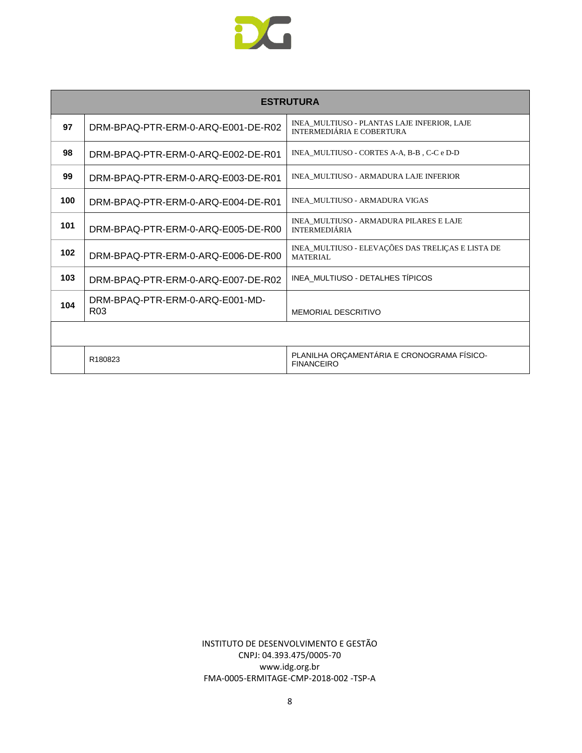

| <b>ESTRUTURA</b> |                                                    |                                                                          |  |
|------------------|----------------------------------------------------|--------------------------------------------------------------------------|--|
| 97               | DRM-BPAQ-PTR-ERM-0-ARQ-E001-DE-R02                 | INEA_MULTIUSO - PLANTAS LAJE INFERIOR, LAJE<br>INTERMEDIÁRIA E COBERTURA |  |
| 98               | DRM-BPAQ-PTR-ERM-0-ARQ-E002-DE-R01                 | INEA MULTIUSO - CORTES A-A, B-B, C-C e D-D                               |  |
| 99               | DRM-BPAQ-PTR-ERM-0-ARQ-E003-DE-R01                 | INEA MULTIUSO - ARMADURA LAJE INFERIOR                                   |  |
| 100              | DRM-BPAQ-PTR-ERM-0-ARQ-E004-DE-R01                 | INEA_MULTIUSO - ARMADURA VIGAS                                           |  |
| 101              | DRM-BPAQ-PTR-ERM-0-ARQ-E005-DE-R00                 | INEA MULTIUSO - ARMADURA PILARES E LAJE<br><b>INTERMEDIÁRIA</b>          |  |
| 102              | DRM-BPAQ-PTR-ERM-0-ARQ-E006-DE-R00                 | INEA_MULTIUSO - ELEVAÇÕES DAS TRELIÇAS E LISTA DE<br><b>MATERIAL</b>     |  |
| 103              | DRM-BPAQ-PTR-ERM-0-ARQ-E007-DE-R02                 | INEA MULTIUSO - DETALHES TÍPICOS                                         |  |
| 104              | DRM-BPAQ-PTR-ERM-0-ARQ-E001-MD-<br>R <sub>03</sub> | <b>MEMORIAL DESCRITIVO</b>                                               |  |
|                  |                                                    |                                                                          |  |
|                  | R180823                                            | PLANILHA ORÇAMENTÁRIA E CRONOGRAMA FÍSICO-<br><b>FINANCEIRO</b>          |  |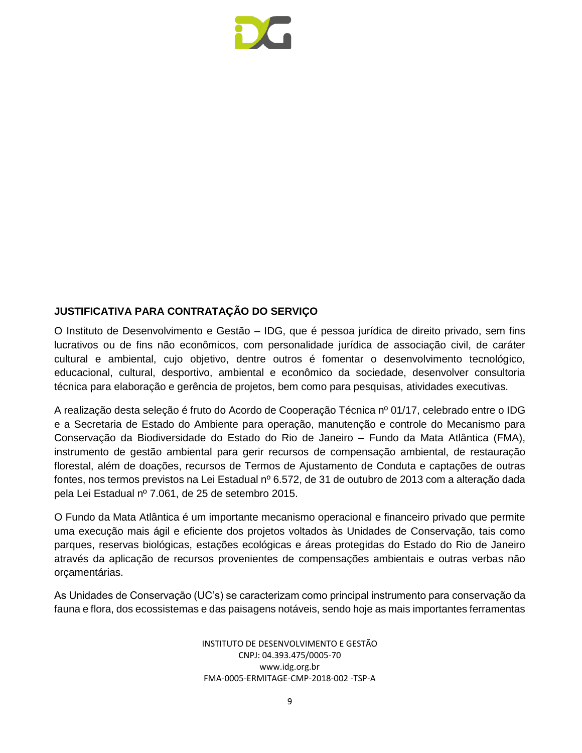

#### <span id="page-8-0"></span>**JUSTIFICATIVA PARA CONTRATAÇÃO DO SERVIÇO**

O Instituto de Desenvolvimento e Gestão – IDG, que é pessoa jurídica de direito privado, sem fins lucrativos ou de fins não econômicos, com personalidade jurídica de associação civil, de caráter cultural e ambiental, cujo objetivo, dentre outros é fomentar o desenvolvimento tecnológico, educacional, cultural, desportivo, ambiental e econômico da sociedade, desenvolver consultoria técnica para elaboração e gerência de projetos, bem como para pesquisas, atividades executivas.

A realização desta seleção é fruto do Acordo de Cooperação Técnica nº 01/17, celebrado entre o IDG e a Secretaria de Estado do Ambiente para operação, manutenção e controle do Mecanismo para Conservação da Biodiversidade do Estado do Rio de Janeiro – Fundo da Mata Atlântica (FMA), instrumento de gestão ambiental para gerir recursos de compensação ambiental, de restauração florestal, além de doações, recursos de Termos de Ajustamento de Conduta e captações de outras fontes, nos termos previstos na Lei Estadual nº 6.572, de 31 de outubro de 2013 com a alteração dada pela Lei Estadual nº 7.061, de 25 de setembro 2015.

O Fundo da Mata Atlântica é um importante mecanismo operacional e financeiro privado que permite uma execução mais ágil e eficiente dos projetos voltados às Unidades de Conservação, tais como parques, reservas biológicas, estações ecológicas e áreas protegidas do Estado do Rio de Janeiro através da aplicação de recursos provenientes de compensações ambientais e outras verbas não orçamentárias.

As Unidades de Conservação (UC's) se caracterizam como principal instrumento para conservação da fauna e flora, dos ecossistemas e das paisagens notáveis, sendo hoje as mais importantes ferramentas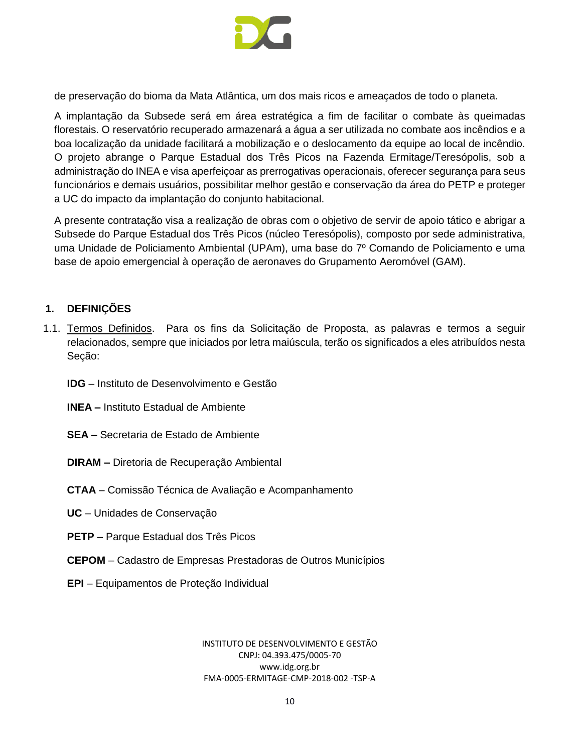

de preservação do bioma da Mata Atlântica, um dos mais ricos e ameaçados de todo o planeta.

A implantação da Subsede será em área estratégica a fim de facilitar o combate às queimadas florestais. O reservatório recuperado armazenará a água a ser utilizada no combate aos incêndios e a boa localização da unidade facilitará a mobilização e o deslocamento da equipe ao local de incêndio. O projeto abrange o Parque Estadual dos Três Picos na Fazenda Ermitage/Teresópolis, sob a administração do INEA e visa aperfeiçoar as prerrogativas operacionais, oferecer segurança para seus funcionários e demais usuários, possibilitar melhor gestão e conservação da área do PETP e proteger a UC do impacto da implantação do conjunto habitacional.

A presente contratação visa a realização de obras com o objetivo de servir de apoio tático e abrigar a Subsede do Parque Estadual dos Três Picos (núcleo Teresópolis), composto por sede administrativa, uma Unidade de Policiamento Ambiental (UPAm), uma base do 7º Comando de Policiamento e uma base de apoio emergencial à operação de aeronaves do Grupamento Aeromóvel (GAM).

#### <span id="page-9-0"></span>**1. DEFINIÇÕES**

- 1.1. Termos Definidos. Para os fins da Solicitação de Proposta, as palavras e termos a seguir relacionados, sempre que iniciados por letra maiúscula, terão os significados a eles atribuídos nesta Seção:
	- **IDG** Instituto de Desenvolvimento e Gestão
	- **INEA –** Instituto Estadual de Ambiente
	- **SEA –** Secretaria de Estado de Ambiente
	- **DIRAM –** Diretoria de Recuperação Ambiental
	- **CTAA** Comissão Técnica de Avaliação e Acompanhamento
	- **UC** Unidades de Conservação
	- **PETP**  Parque Estadual dos Três Picos
	- **CEPOM** Cadastro de Empresas Prestadoras de Outros Municípios
	- **EPI**  Equipamentos de Proteção Individual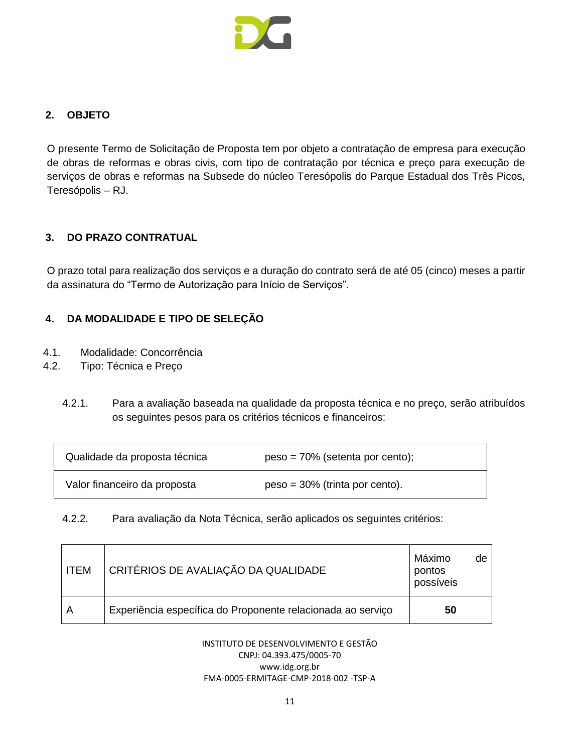

#### <span id="page-10-0"></span>**2. OBJETO**

O presente Termo de Solicitação de Proposta tem por objeto a contratação de empresa para execução de obras de reformas e obras civis, com tipo de contratação por técnica e preço para execução de serviços de obras e reformas na Subsede do núcleo Teresópolis do Parque Estadual dos Três Picos, Teresópolis – RJ.

#### <span id="page-10-1"></span>**3. DO PRAZO CONTRATUAL**

O prazo total para realização dos serviços e a duração do contrato será de até 05 (cinco) meses a partir da assinatura do "Termo de Autorização para Início de Serviços".

# <span id="page-10-2"></span>**4. DA MODALIDADE E TIPO DE SELEÇÃO**

- 4.1. Modalidade: Concorrência
- 4.2. Tipo: Técnica e Preço
	- 4.2.1. Para a avaliação baseada na qualidade da proposta técnica e no preço, serão atribuídos os seguintes pesos para os critérios técnicos e financeiros:

| Qualidade da proposta técnica | $peso = 70\%$ (setenta por cento); |
|-------------------------------|------------------------------------|
| Valor financeiro da proposta  | $peso = 30\%$ (trinta por cento).  |

4.2.2. Para avaliação da Nota Técnica, serão aplicados os seguintes critérios:

| <b>ITEM</b> | CRITÉRIOS DE AVALIAÇÃO DA QUALIDADE                         |    | de |
|-------------|-------------------------------------------------------------|----|----|
|             | Experiência específica do Proponente relacionada ao serviço | 50 |    |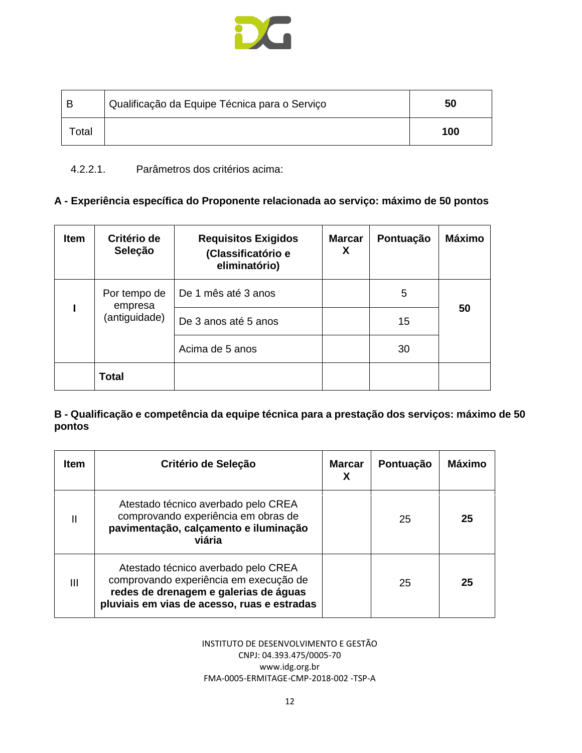

| В                 | Qualificação da Equipe Técnica para o Serviço | 50  |
|-------------------|-----------------------------------------------|-----|
| otal <sup>-</sup> |                                               | 100 |

#### 4.2.2.1. Parâmetros dos critérios acima:

# **A - Experiência específica do Proponente relacionada ao serviço: máximo de 50 pontos**

| <b>Item</b> | Critério de<br>Seleção  | <b>Requisitos Exigidos</b><br>(Classificatório e<br>eliminatório) | <b>Marcar</b><br>X   | Pontuação | <b>Máximo</b> |
|-------------|-------------------------|-------------------------------------------------------------------|----------------------|-----------|---------------|
|             | Por tempo de<br>empresa | De 1 mês até 3 anos                                               |                      | 5         |               |
|             |                         | (antiguidade)                                                     | De 3 anos até 5 anos |           | 15            |
|             |                         | Acima de 5 anos                                                   |                      | 30        |               |
|             | Total                   |                                                                   |                      |           |               |

#### **B - Qualificação e competência da equipe técnica para a prestação dos serviços: máximo de 50 pontos**

| <b>Item</b>  | Critério de Seleção                                                                                                                                                   | <b>Marcar</b><br>х | Pontuação | Máximo |
|--------------|-----------------------------------------------------------------------------------------------------------------------------------------------------------------------|--------------------|-----------|--------|
| $\mathbf{I}$ | Atestado técnico averbado pelo CREA<br>comprovando experiência em obras de<br>pavimentação, calçamento e iluminação<br>viária                                         |                    | 25        | 25     |
| Ш            | Atestado técnico averbado pelo CREA<br>comprovando experiência em execução de<br>redes de drenagem e galerias de águas<br>pluviais em vias de acesso, ruas e estradas |                    | 25        | 25     |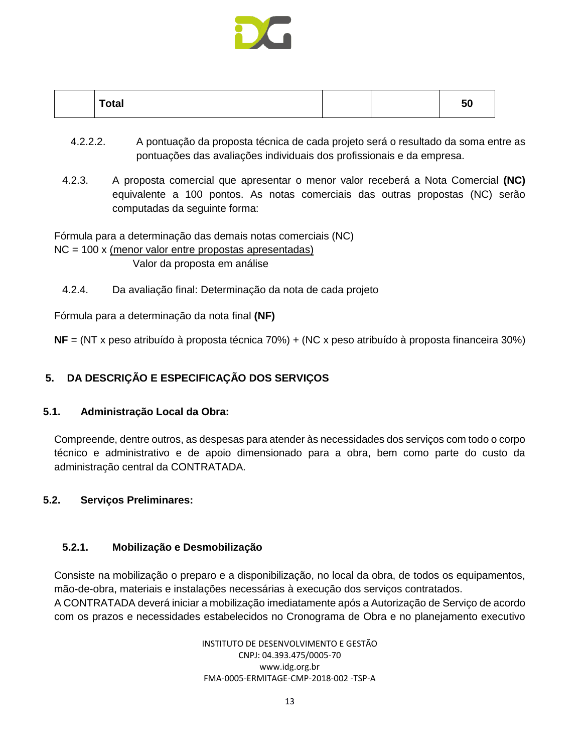

| <b>Total</b> | vu |  |
|--------------|----|--|
|--------------|----|--|

- 4.2.2.2. A pontuação da proposta técnica de cada projeto será o resultado da soma entre as pontuações das avaliações individuais dos profissionais e da empresa.
- 4.2.3. A proposta comercial que apresentar o menor valor receberá a Nota Comercial **(NC)**  equivalente a 100 pontos. As notas comerciais das outras propostas (NC) serão computadas da seguinte forma:

Fórmula para a determinação das demais notas comerciais (NC)  $NC = 100$  x (menor valor entre propostas apresentadas) Valor da proposta em análise

4.2.4. Da avaliação final: Determinação da nota de cada projeto

Fórmula para a determinação da nota final **(NF)**

**NF** = (NT x peso atribuído à proposta técnica 70%) + (NC x peso atribuído à proposta financeira 30%)

# <span id="page-12-0"></span>**5. DA DESCRIÇÃO E ESPECIFICAÇÃO DOS SERVIÇOS**

#### **5.1. Administração Local da Obra:**

Compreende, dentre outros, as despesas para atender às necessidades dos serviços com todo o corpo técnico e administrativo e de apoio dimensionado para a obra, bem como parte do custo da administração central da CONTRATADA.

# **5.2. Serviços Preliminares:**

# **5.2.1. Mobilização e Desmobilização**

Consiste na mobilização o preparo e a disponibilização, no local da obra, de todos os equipamentos, mão-de-obra, materiais e instalações necessárias à execução dos serviços contratados. A CONTRATADA deverá iniciar a mobilização imediatamente após a Autorização de Serviço de acordo com os prazos e necessidades estabelecidos no Cronograma de Obra e no planejamento executivo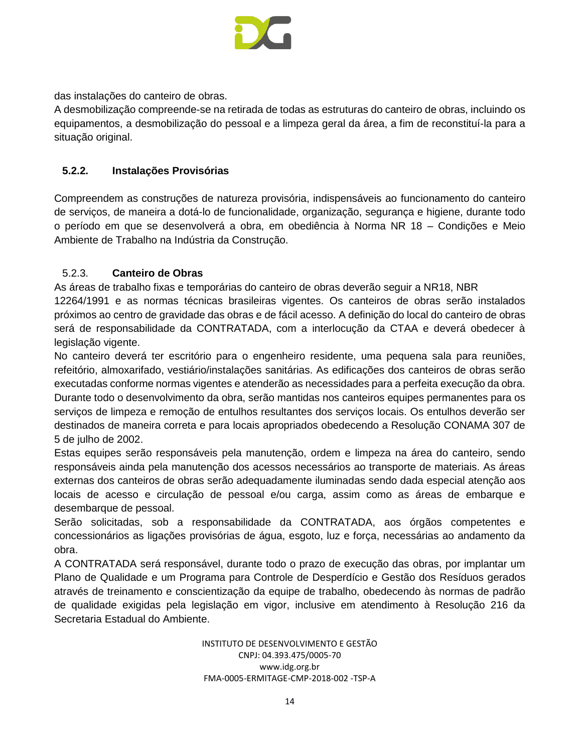

das instalações do canteiro de obras.

A desmobilização compreende-se na retirada de todas as estruturas do canteiro de obras, incluindo os equipamentos, a desmobilização do pessoal e a limpeza geral da área, a fim de reconstituí-la para a situação original.

#### **5.2.2. Instalações Provisórias**

Compreendem as construções de natureza provisória, indispensáveis ao funcionamento do canteiro de serviços, de maneira a dotá-lo de funcionalidade, organização, segurança e higiene, durante todo o período em que se desenvolverá a obra, em obediência à Norma NR 18 – Condições e Meio Ambiente de Trabalho na Indústria da Construção.

#### 5.2.3. **Canteiro de Obras**

As áreas de trabalho fixas e temporárias do canteiro de obras deverão seguir a NR18, NBR

12264/1991 e as normas técnicas brasileiras vigentes. Os canteiros de obras serão instalados próximos ao centro de gravidade das obras e de fácil acesso. A definição do local do canteiro de obras será de responsabilidade da CONTRATADA, com a interlocução da CTAA e deverá obedecer à legislação vigente.

No canteiro deverá ter escritório para o engenheiro residente, uma pequena sala para reuniões, refeitório, almoxarifado, vestiário/instalações sanitárias. As edificações dos canteiros de obras serão executadas conforme normas vigentes e atenderão as necessidades para a perfeita execução da obra. Durante todo o desenvolvimento da obra, serão mantidas nos canteiros equipes permanentes para os serviços de limpeza e remoção de entulhos resultantes dos serviços locais. Os entulhos deverão ser destinados de maneira correta e para locais apropriados obedecendo a Resolução CONAMA 307 de 5 de julho de 2002.

Estas equipes serão responsáveis pela manutenção, ordem e limpeza na área do canteiro, sendo responsáveis ainda pela manutenção dos acessos necessários ao transporte de materiais. As áreas externas dos canteiros de obras serão adequadamente iluminadas sendo dada especial atenção aos locais de acesso e circulação de pessoal e/ou carga, assim como as áreas de embarque e desembarque de pessoal.

Serão solicitadas, sob a responsabilidade da CONTRATADA, aos órgãos competentes e concessionários as ligações provisórias de água, esgoto, luz e força, necessárias ao andamento da obra.

A CONTRATADA será responsável, durante todo o prazo de execução das obras, por implantar um Plano de Qualidade e um Programa para Controle de Desperdício e Gestão dos Resíduos gerados através de treinamento e conscientização da equipe de trabalho, obedecendo às normas de padrão de qualidade exigidas pela legislação em vigor, inclusive em atendimento à Resolução 216 da Secretaria Estadual do Ambiente.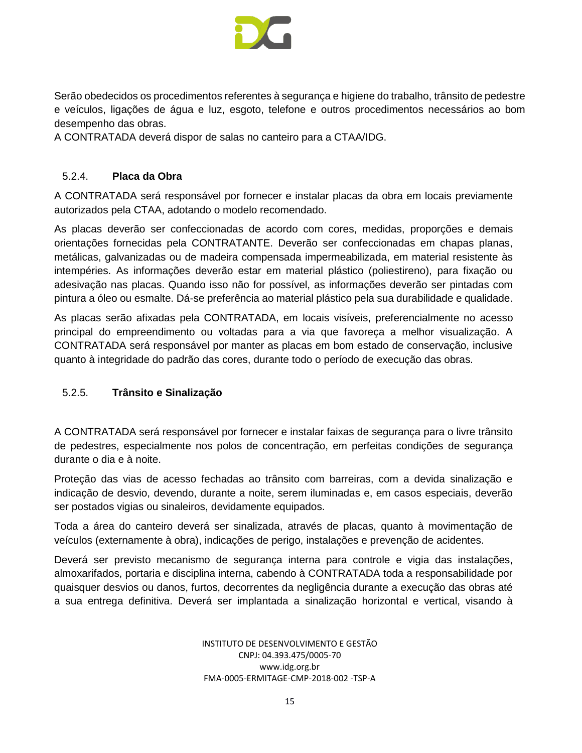

Serão obedecidos os procedimentos referentes à segurança e higiene do trabalho, trânsito de pedestre e veículos, ligações de água e luz, esgoto, telefone e outros procedimentos necessários ao bom desempenho das obras.

A CONTRATADA deverá dispor de salas no canteiro para a CTAA/IDG.

#### 5.2.4. **Placa da Obra**

A CONTRATADA será responsável por fornecer e instalar placas da obra em locais previamente autorizados pela CTAA, adotando o modelo recomendado.

As placas deverão ser confeccionadas de acordo com cores, medidas, proporções e demais orientações fornecidas pela CONTRATANTE. Deverão ser confeccionadas em chapas planas, metálicas, galvanizadas ou de madeira compensada impermeabilizada, em material resistente às intempéries. As informações deverão estar em material plástico (poliestireno), para fixação ou adesivação nas placas. Quando isso não for possível, as informações deverão ser pintadas com pintura a óleo ou esmalte. Dá-se preferência ao material plástico pela sua durabilidade e qualidade.

As placas serão afixadas pela CONTRATADA, em locais visíveis, preferencialmente no acesso principal do empreendimento ou voltadas para a via que favoreça a melhor visualização. A CONTRATADA será responsável por manter as placas em bom estado de conservação, inclusive quanto à integridade do padrão das cores, durante todo o período de execução das obras.

# 5.2.5. **Trânsito e Sinalização**

A CONTRATADA será responsável por fornecer e instalar faixas de segurança para o livre trânsito de pedestres, especialmente nos polos de concentração, em perfeitas condições de segurança durante o dia e à noite.

Proteção das vias de acesso fechadas ao trânsito com barreiras, com a devida sinalização e indicação de desvio, devendo, durante a noite, serem iluminadas e, em casos especiais, deverão ser postados vigias ou sinaleiros, devidamente equipados.

Toda a área do canteiro deverá ser sinalizada, através de placas, quanto à movimentação de veículos (externamente à obra), indicações de perigo, instalações e prevenção de acidentes.

Deverá ser previsto mecanismo de segurança interna para controle e vigia das instalações, almoxarifados, portaria e disciplina interna, cabendo à CONTRATADA toda a responsabilidade por quaisquer desvios ou danos, furtos, decorrentes da negligência durante a execução das obras até a sua entrega definitiva. Deverá ser implantada a sinalização horizontal e vertical, visando à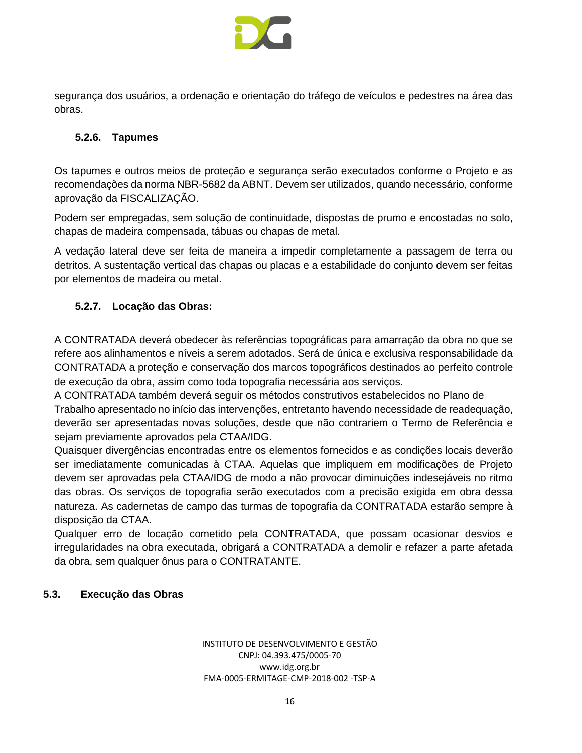

segurança dos usuários, a ordenação e orientação do tráfego de veículos e pedestres na área das obras.

#### **5.2.6. Tapumes**

Os tapumes e outros meios de proteção e segurança serão executados conforme o Projeto e as recomendações da norma NBR-5682 da ABNT. Devem ser utilizados, quando necessário, conforme aprovação da FISCALIZAÇÃO.

Podem ser empregadas, sem solução de continuidade, dispostas de prumo e encostadas no solo, chapas de madeira compensada, tábuas ou chapas de metal.

A vedação lateral deve ser feita de maneira a impedir completamente a passagem de terra ou detritos. A sustentação vertical das chapas ou placas e a estabilidade do conjunto devem ser feitas por elementos de madeira ou metal.

# **5.2.7. Locação das Obras:**

A CONTRATADA deverá obedecer às referências topográficas para amarração da obra no que se refere aos alinhamentos e níveis a serem adotados. Será de única e exclusiva responsabilidade da CONTRATADA a proteção e conservação dos marcos topográficos destinados ao perfeito controle de execução da obra, assim como toda topografia necessária aos serviços.

A CONTRATADA também deverá seguir os métodos construtivos estabelecidos no Plano de Trabalho apresentado no início das intervenções, entretanto havendo necessidade de readequação, deverão ser apresentadas novas soluções, desde que não contrariem o Termo de Referência e sejam previamente aprovados pela CTAA/IDG.

Quaisquer divergências encontradas entre os elementos fornecidos e as condições locais deverão ser imediatamente comunicadas à CTAA. Aquelas que impliquem em modificações de Projeto devem ser aprovadas pela CTAA/IDG de modo a não provocar diminuições indesejáveis no ritmo das obras. Os serviços de topografia serão executados com a precisão exigida em obra dessa natureza. As cadernetas de campo das turmas de topografia da CONTRATADA estarão sempre à disposição da CTAA.

Qualquer erro de locação cometido pela CONTRATADA, que possam ocasionar desvios e irregularidades na obra executada, obrigará a CONTRATADA a demolir e refazer a parte afetada da obra, sem qualquer ônus para o CONTRATANTE.

# **5.3. Execução das Obras**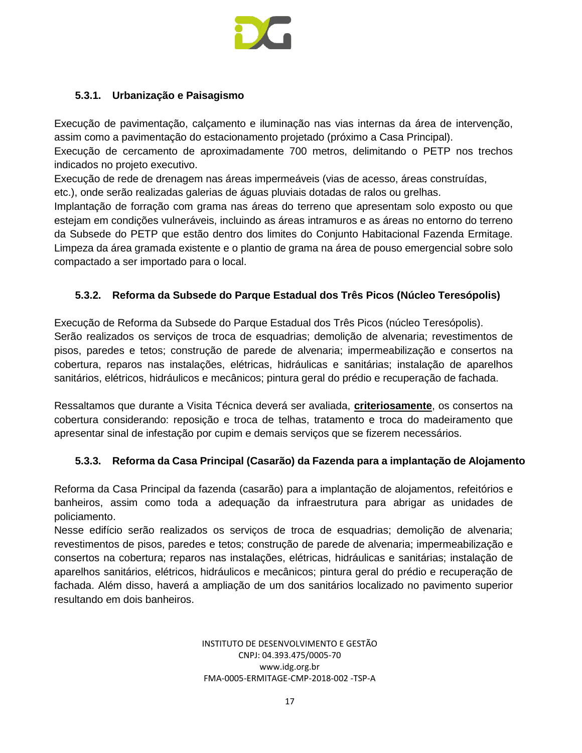

#### **5.3.1. Urbanização e Paisagismo**

Execução de pavimentação, calçamento e iluminação nas vias internas da área de intervenção, assim como a pavimentação do estacionamento projetado (próximo a Casa Principal).

Execução de cercamento de aproximadamente 700 metros, delimitando o PETP nos trechos indicados no projeto executivo.

Execução de rede de drenagem nas áreas impermeáveis (vias de acesso, áreas construídas,

etc.), onde serão realizadas galerias de águas pluviais dotadas de ralos ou grelhas.

Implantação de forração com grama nas áreas do terreno que apresentam solo exposto ou que estejam em condições vulneráveis, incluindo as áreas intramuros e as áreas no entorno do terreno da Subsede do PETP que estão dentro dos limites do Conjunto Habitacional Fazenda Ermitage. Limpeza da área gramada existente e o plantio de grama na área de pouso emergencial sobre solo compactado a ser importado para o local.

# **5.3.2. Reforma da Subsede do Parque Estadual dos Três Picos (Núcleo Teresópolis)**

Execução de Reforma da Subsede do Parque Estadual dos Três Picos (núcleo Teresópolis). Serão realizados os serviços de troca de esquadrias; demolição de alvenaria; revestimentos de pisos, paredes e tetos; construção de parede de alvenaria; impermeabilização e consertos na cobertura, reparos nas instalações, elétricas, hidráulicas e sanitárias; instalação de aparelhos sanitários, elétricos, hidráulicos e mecânicos; pintura geral do prédio e recuperação de fachada.

Ressaltamos que durante a Visita Técnica deverá ser avaliada, **criteriosamente**, os consertos na cobertura considerando: reposição e troca de telhas, tratamento e troca do madeiramento que apresentar sinal de infestação por cupim e demais serviços que se fizerem necessários.

# **5.3.3. Reforma da Casa Principal (Casarão) da Fazenda para a implantação de Alojamento**

Reforma da Casa Principal da fazenda (casarão) para a implantação de alojamentos, refeitórios e banheiros, assim como toda a adequação da infraestrutura para abrigar as unidades de policiamento.

Nesse edifício serão realizados os serviços de troca de esquadrias; demolição de alvenaria; revestimentos de pisos, paredes e tetos; construção de parede de alvenaria; impermeabilização e consertos na cobertura; reparos nas instalações, elétricas, hidráulicas e sanitárias; instalação de aparelhos sanitários, elétricos, hidráulicos e mecânicos; pintura geral do prédio e recuperação de fachada. Além disso, haverá a ampliação de um dos sanitários localizado no pavimento superior resultando em dois banheiros.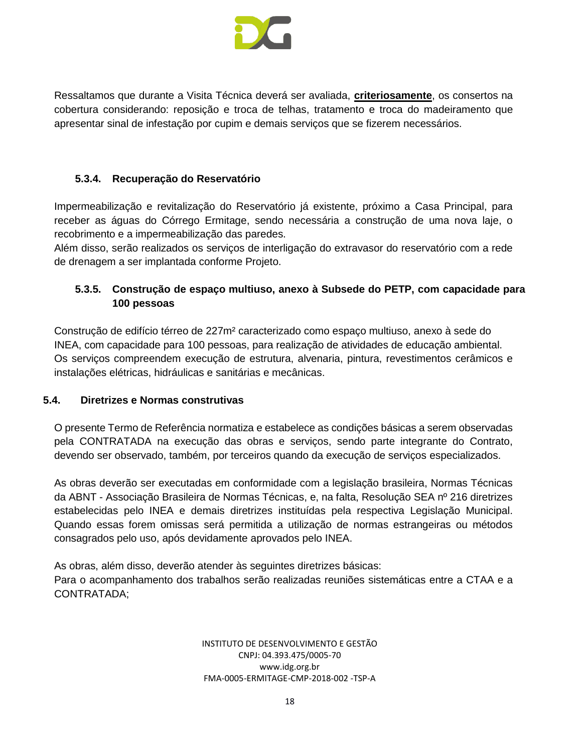

Ressaltamos que durante a Visita Técnica deverá ser avaliada, **criteriosamente**, os consertos na cobertura considerando: reposição e troca de telhas, tratamento e troca do madeiramento que apresentar sinal de infestação por cupim e demais serviços que se fizerem necessários.

# **5.3.4. Recuperação do Reservatório**

Impermeabilização e revitalização do Reservatório já existente, próximo a Casa Principal, para receber as águas do Córrego Ermitage, sendo necessária a construção de uma nova laje, o recobrimento e a impermeabilização das paredes.

Além disso, serão realizados os serviços de interligação do extravasor do reservatório com a rede de drenagem a ser implantada conforme Projeto.

# **5.3.5. Construção de espaço multiuso, anexo à Subsede do PETP, com capacidade para 100 pessoas**

Construção de edifício térreo de 227m² caracterizado como espaço multiuso, anexo à sede do INEA, com capacidade para 100 pessoas, para realização de atividades de educação ambiental. Os serviços compreendem execução de estrutura, alvenaria, pintura, revestimentos cerâmicos e instalações elétricas, hidráulicas e sanitárias e mecânicas.

# **5.4. Diretrizes e Normas construtivas**

O presente Termo de Referência normatiza e estabelece as condições básicas a serem observadas pela CONTRATADA na execução das obras e serviços, sendo parte integrante do Contrato, devendo ser observado, também, por terceiros quando da execução de serviços especializados.

As obras deverão ser executadas em conformidade com a legislação brasileira, Normas Técnicas da ABNT - Associação Brasileira de Normas Técnicas, e, na falta, Resolução SEA nº 216 diretrizes estabelecidas pelo INEA e demais diretrizes instituídas pela respectiva Legislação Municipal. Quando essas forem omissas será permitida a utilização de normas estrangeiras ou métodos consagrados pelo uso, após devidamente aprovados pelo INEA.

As obras, além disso, deverão atender às seguintes diretrizes básicas: Para o acompanhamento dos trabalhos serão realizadas reuniões sistemáticas entre a CTAA e a CONTRATADA;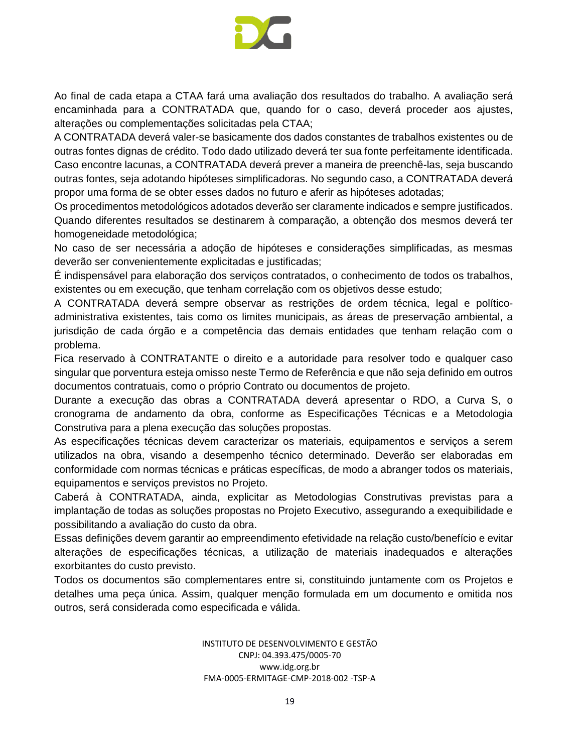

Ao final de cada etapa a CTAA fará uma avaliação dos resultados do trabalho. A avaliação será encaminhada para a CONTRATADA que, quando for o caso, deverá proceder aos ajustes, alterações ou complementações solicitadas pela CTAA;

A CONTRATADA deverá valer-se basicamente dos dados constantes de trabalhos existentes ou de outras fontes dignas de crédito. Todo dado utilizado deverá ter sua fonte perfeitamente identificada. Caso encontre lacunas, a CONTRATADA deverá prever a maneira de preenchê-las, seja buscando outras fontes, seja adotando hipóteses simplificadoras. No segundo caso, a CONTRATADA deverá propor uma forma de se obter esses dados no futuro e aferir as hipóteses adotadas;

Os procedimentos metodológicos adotados deverão ser claramente indicados e sempre justificados. Quando diferentes resultados se destinarem à comparação, a obtenção dos mesmos deverá ter homogeneidade metodológica;

No caso de ser necessária a adoção de hipóteses e considerações simplificadas, as mesmas deverão ser convenientemente explicitadas e justificadas;

É indispensável para elaboração dos serviços contratados, o conhecimento de todos os trabalhos, existentes ou em execução, que tenham correlação com os objetivos desse estudo;

A CONTRATADA deverá sempre observar as restrições de ordem técnica, legal e políticoadministrativa existentes, tais como os limites municipais, as áreas de preservação ambiental, a jurisdição de cada órgão e a competência das demais entidades que tenham relação com o problema.

Fica reservado à CONTRATANTE o direito e a autoridade para resolver todo e qualquer caso singular que porventura esteja omisso neste Termo de Referência e que não seja definido em outros documentos contratuais, como o próprio Contrato ou documentos de projeto.

Durante a execução das obras a CONTRATADA deverá apresentar o RDO, a Curva S, o cronograma de andamento da obra, conforme as Especificações Técnicas e a Metodologia Construtiva para a plena execução das soluções propostas.

As especificações técnicas devem caracterizar os materiais, equipamentos e serviços a serem utilizados na obra, visando a desempenho técnico determinado. Deverão ser elaboradas em conformidade com normas técnicas e práticas específicas, de modo a abranger todos os materiais, equipamentos e serviços previstos no Projeto.

Caberá à CONTRATADA, ainda, explicitar as Metodologias Construtivas previstas para a implantação de todas as soluções propostas no Projeto Executivo, assegurando a exequibilidade e possibilitando a avaliação do custo da obra.

Essas definições devem garantir ao empreendimento efetividade na relação custo/benefício e evitar alterações de especificações técnicas, a utilização de materiais inadequados e alterações exorbitantes do custo previsto.

Todos os documentos são complementares entre si, constituindo juntamente com os Projetos e detalhes uma peça única. Assim, qualquer menção formulada em um documento e omitida nos outros, será considerada como especificada e válida.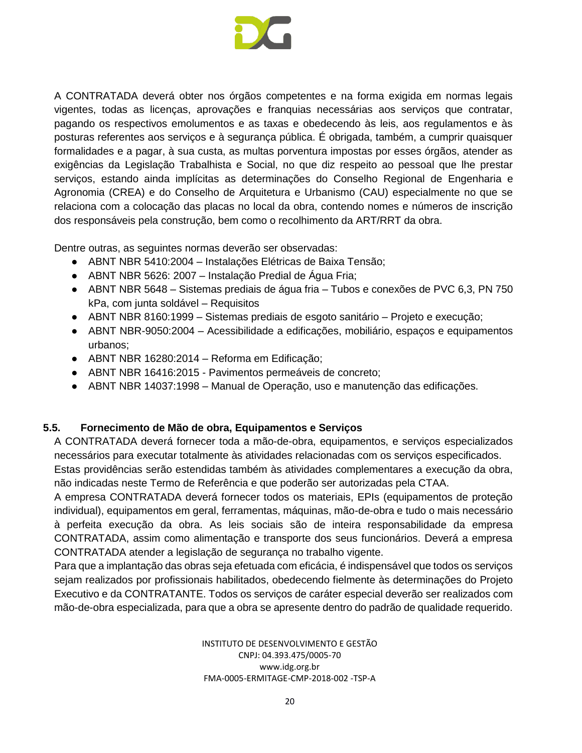

A CONTRATADA deverá obter nos órgãos competentes e na forma exigida em normas legais vigentes, todas as licenças, aprovações e franquias necessárias aos serviços que contratar, pagando os respectivos emolumentos e as taxas e obedecendo às leis, aos regulamentos e às posturas referentes aos serviços e à segurança pública. É obrigada, também, a cumprir quaisquer formalidades e a pagar, à sua custa, as multas porventura impostas por esses órgãos, atender as exigências da Legislação Trabalhista e Social, no que diz respeito ao pessoal que lhe prestar serviços, estando ainda implícitas as determinações do Conselho Regional de Engenharia e Agronomia (CREA) e do Conselho de Arquitetura e Urbanismo (CAU) especialmente no que se relaciona com a colocação das placas no local da obra, contendo nomes e números de inscrição dos responsáveis pela construção, bem como o recolhimento da ART/RRT da obra.

Dentre outras, as seguintes normas deverão ser observadas:

- ABNT NBR 5410:2004 Instalações Elétricas de Baixa Tensão;
- ABNT NBR 5626: 2007 Instalação Predial de Água Fria;
- ABNT NBR 5648 Sistemas prediais de água fria Tubos e conexões de PVC 6,3, PN 750 kPa, com junta soldável – Requisitos
- ABNT NBR 8160:1999 Sistemas prediais de esgoto sanitário Projeto e execução;
- ABNT NBR-9050:2004 Acessibilidade a edificações, mobiliário, espaços e equipamentos urbanos;
- ABNT NBR 16280:2014 Reforma em Edificação;
- ABNT NBR 16416:2015 Pavimentos permeáveis de concreto;
- ABNT NBR 14037:1998 Manual de Operação, uso e manutenção das edificações.

#### **5.5. Fornecimento de Mão de obra, Equipamentos e Serviços**

A CONTRATADA deverá fornecer toda a mão-de-obra, equipamentos, e serviços especializados necessários para executar totalmente às atividades relacionadas com os serviços especificados.

Estas providências serão estendidas também às atividades complementares a execução da obra, não indicadas neste Termo de Referência e que poderão ser autorizadas pela CTAA.

A empresa CONTRATADA deverá fornecer todos os materiais, EPIs (equipamentos de proteção individual), equipamentos em geral, ferramentas, máquinas, mão-de-obra e tudo o mais necessário à perfeita execução da obra. As leis sociais são de inteira responsabilidade da empresa CONTRATADA, assim como alimentação e transporte dos seus funcionários. Deverá a empresa CONTRATADA atender a legislação de segurança no trabalho vigente.

Para que a implantação das obras seja efetuada com eficácia, é indispensável que todos os serviços sejam realizados por profissionais habilitados, obedecendo fielmente às determinações do Projeto Executivo e da CONTRATANTE. Todos os serviços de caráter especial deverão ser realizados com mão-de-obra especializada, para que a obra se apresente dentro do padrão de qualidade requerido.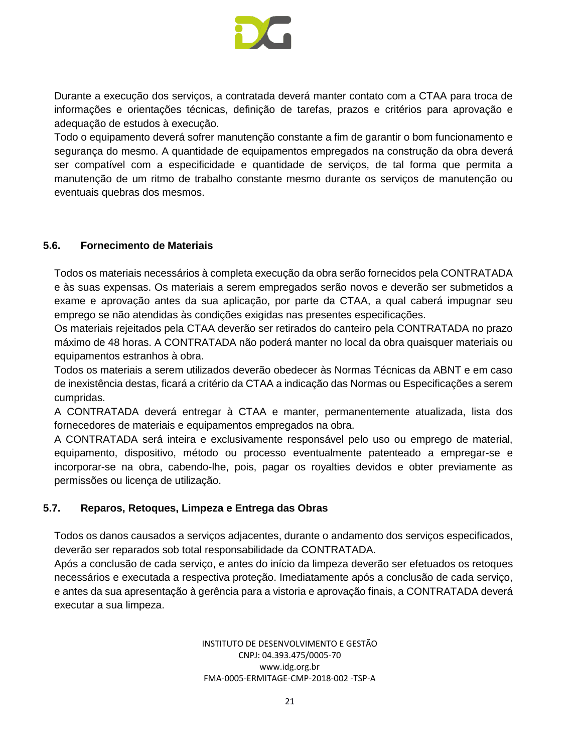

Durante a execução dos serviços, a contratada deverá manter contato com a CTAA para troca de informações e orientações técnicas, definição de tarefas, prazos e critérios para aprovação e adequação de estudos à execução.

Todo o equipamento deverá sofrer manutenção constante a fim de garantir o bom funcionamento e segurança do mesmo. A quantidade de equipamentos empregados na construção da obra deverá ser compatível com a especificidade e quantidade de serviços, de tal forma que permita a manutenção de um ritmo de trabalho constante mesmo durante os serviços de manutenção ou eventuais quebras dos mesmos.

#### **5.6. Fornecimento de Materiais**

Todos os materiais necessários à completa execução da obra serão fornecidos pela CONTRATADA e às suas expensas. Os materiais a serem empregados serão novos e deverão ser submetidos a exame e aprovação antes da sua aplicação, por parte da CTAA, a qual caberá impugnar seu emprego se não atendidas às condições exigidas nas presentes especificações.

Os materiais rejeitados pela CTAA deverão ser retirados do canteiro pela CONTRATADA no prazo máximo de 48 horas. A CONTRATADA não poderá manter no local da obra quaisquer materiais ou equipamentos estranhos à obra.

Todos os materiais a serem utilizados deverão obedecer às Normas Técnicas da ABNT e em caso de inexistência destas, ficará a critério da CTAA a indicação das Normas ou Especificações a serem cumpridas.

A CONTRATADA deverá entregar à CTAA e manter, permanentemente atualizada, lista dos fornecedores de materiais e equipamentos empregados na obra.

A CONTRATADA será inteira e exclusivamente responsável pelo uso ou emprego de material, equipamento, dispositivo, método ou processo eventualmente patenteado a empregar-se e incorporar-se na obra, cabendo-lhe, pois, pagar os royalties devidos e obter previamente as permissões ou licença de utilização.

# **5.7. Reparos, Retoques, Limpeza e Entrega das Obras**

Todos os danos causados a serviços adjacentes, durante o andamento dos serviços especificados, deverão ser reparados sob total responsabilidade da CONTRATADA.

Após a conclusão de cada serviço, e antes do início da limpeza deverão ser efetuados os retoques necessários e executada a respectiva proteção. Imediatamente após a conclusão de cada serviço, e antes da sua apresentação à gerência para a vistoria e aprovação finais, a CONTRATADA deverá executar a sua limpeza.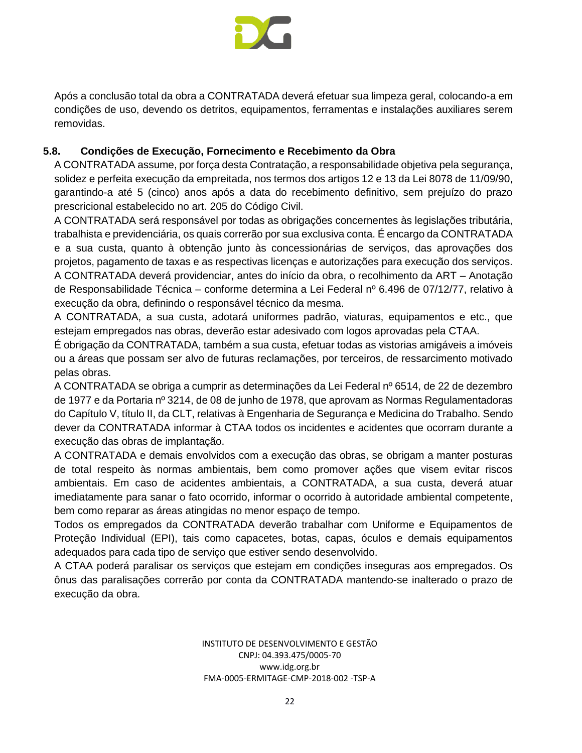

Após a conclusão total da obra a CONTRATADA deverá efetuar sua limpeza geral, colocando-a em condições de uso, devendo os detritos, equipamentos, ferramentas e instalações auxiliares serem removidas.

# **5.8. Condições de Execução, Fornecimento e Recebimento da Obra**

A CONTRATADA assume, por força desta Contratação, a responsabilidade objetiva pela segurança, solidez e perfeita execução da empreitada, nos termos dos artigos 12 e 13 da Lei 8078 de 11/09/90, garantindo-a até 5 (cinco) anos após a data do recebimento definitivo, sem prejuízo do prazo prescricional estabelecido no art. 205 do Código Civil.

A CONTRATADA será responsável por todas as obrigações concernentes às legislações tributária, trabalhista e previdenciária, os quais correrão por sua exclusiva conta. É encargo da CONTRATADA e a sua custa, quanto à obtenção junto às concessionárias de serviços, das aprovações dos projetos, pagamento de taxas e as respectivas licenças e autorizações para execução dos serviços. A CONTRATADA deverá providenciar, antes do início da obra, o recolhimento da ART – Anotação de Responsabilidade Técnica – conforme determina a Lei Federal nº 6.496 de 07/12/77, relativo à execução da obra, definindo o responsável técnico da mesma.

A CONTRATADA, a sua custa, adotará uniformes padrão, viaturas, equipamentos e etc., que estejam empregados nas obras, deverão estar adesivado com logos aprovadas pela CTAA.

É obrigação da CONTRATADA, também a sua custa, efetuar todas as vistorias amigáveis a imóveis ou a áreas que possam ser alvo de futuras reclamações, por terceiros, de ressarcimento motivado pelas obras.

A CONTRATADA se obriga a cumprir as determinações da Lei Federal nº 6514, de 22 de dezembro de 1977 e da Portaria nº 3214, de 08 de junho de 1978, que aprovam as Normas Regulamentadoras do Capítulo V, título II, da CLT, relativas à Engenharia de Segurança e Medicina do Trabalho. Sendo dever da CONTRATADA informar à CTAA todos os incidentes e acidentes que ocorram durante a execução das obras de implantação.

A CONTRATADA e demais envolvidos com a execução das obras, se obrigam a manter posturas de total respeito às normas ambientais, bem como promover ações que visem evitar riscos ambientais. Em caso de acidentes ambientais, a CONTRATADA, a sua custa, deverá atuar imediatamente para sanar o fato ocorrido, informar o ocorrido à autoridade ambiental competente, bem como reparar as áreas atingidas no menor espaço de tempo.

Todos os empregados da CONTRATADA deverão trabalhar com Uniforme e Equipamentos de Proteção Individual (EPI), tais como capacetes, botas, capas, óculos e demais equipamentos adequados para cada tipo de serviço que estiver sendo desenvolvido.

A CTAA poderá paralisar os serviços que estejam em condições inseguras aos empregados. Os ônus das paralisações correrão por conta da CONTRATADA mantendo-se inalterado o prazo de execução da obra.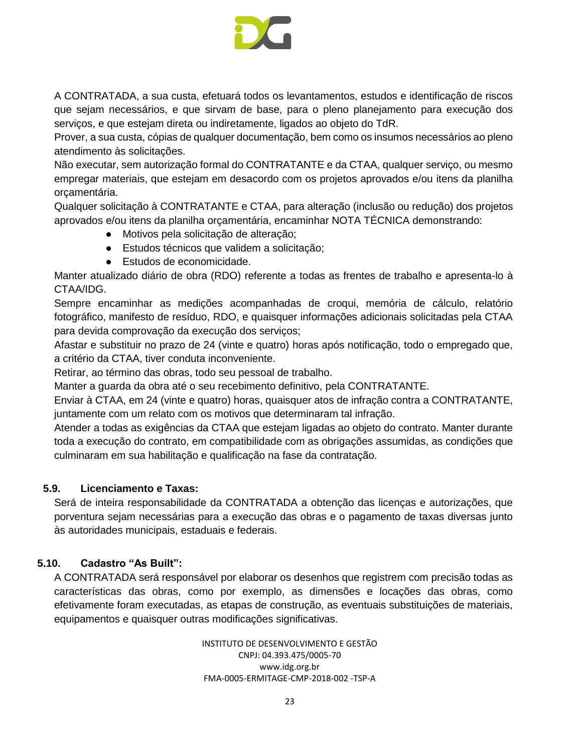

A CONTRATADA, a sua custa, efetuará todos os levantamentos, estudos e identificação de riscos que sejam necessários, e que sirvam de base, para o pleno planejamento para execução dos serviços, e que estejam direta ou indiretamente, ligados ao objeto do TdR.

Prover, a sua custa, cópias de qualquer documentação, bem como os insumos necessários ao pleno atendimento às solicitações.

Não executar, sem autorização formal do CONTRATANTE e da CTAA, qualquer serviço, ou mesmo empregar materiais, que estejam em desacordo com os projetos aprovados e/ou itens da planilha orçamentária.

Qualquer solicitação à CONTRATANTE e CTAA, para alteração (inclusão ou redução) dos projetos aprovados e/ou itens da planilha orçamentária, encaminhar NOTA TÉCNICA demonstrando:

- Motivos pela solicitação de alteração;
- Estudos técnicos que validem a solicitação;
- Estudos de economicidade.

Manter atualizado diário de obra (RDO) referente a todas as frentes de trabalho e apresenta-lo à CTAA/IDG.

Sempre encaminhar as medições acompanhadas de croqui, memória de cálculo, relatório fotográfico, manifesto de resíduo, RDO, e quaisquer informações adicionais solicitadas pela CTAA para devida comprovação da execução dos serviços;

Afastar e substituir no prazo de 24 (vinte e quatro) horas após notificação, todo o empregado que, a critério da CTAA, tiver conduta inconveniente.

Retirar, ao término das obras, todo seu pessoal de trabalho.

Manter a guarda da obra até o seu recebimento definitivo, pela CONTRATANTE.

Enviar à CTAA, em 24 (vinte e quatro) horas, quaisquer atos de infração contra a CONTRATANTE, juntamente com um relato com os motivos que determinaram tal infração.

Atender a todas as exigências da CTAA que estejam ligadas ao objeto do contrato. Manter durante toda a execução do contrato, em compatibilidade com as obrigações assumidas, as condições que culminaram em sua habilitação e qualificação na fase da contratação.

# **5.9. Licenciamento e Taxas:**

Será de inteira responsabilidade da CONTRATADA a obtenção das licenças e autorizações, que porventura sejam necessárias para a execução das obras e o pagamento de taxas diversas junto às autoridades municipais, estaduais e federais.

# **5.10. Cadastro "As Built":**

A CONTRATADA será responsável por elaborar os desenhos que registrem com precisão todas as características das obras, como por exemplo, as dimensões e locações das obras, como efetivamente foram executadas, as etapas de construção, as eventuais substituições de materiais, equipamentos e quaisquer outras modificações significativas.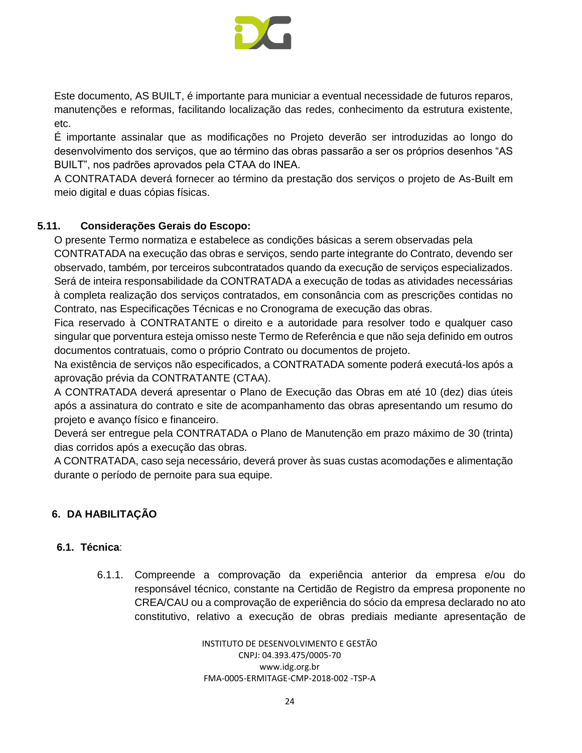

Este documento, AS BUILT, é importante para municiar a eventual necessidade de futuros reparos, manutenções e reformas, facilitando localização das redes, conhecimento da estrutura existente, etc.

É importante assinalar que as modificações no Projeto deverão ser introduzidas ao longo do desenvolvimento dos serviços, que ao término das obras passarão a ser os próprios desenhos "AS BUILT", nos padrões aprovados pela CTAA do INEA.

A CONTRATADA deverá fornecer ao término da prestação dos serviços o projeto de As-Built em meio digital e duas cópias físicas.

# **5.11. Considerações Gerais do Escopo:**

O presente Termo normatiza e estabelece as condições básicas a serem observadas pela

CONTRATADA na execução das obras e serviços, sendo parte integrante do Contrato, devendo ser observado, também, por terceiros subcontratados quando da execução de serviços especializados. Será de inteira responsabilidade da CONTRATADA a execução de todas as atividades necessárias à completa realização dos serviços contratados, em consonância com as prescrições contidas no Contrato, nas Especificações Técnicas e no Cronograma de execução das obras.

Fica reservado à CONTRATANTE o direito e a autoridade para resolver todo e qualquer caso singular que porventura esteja omisso neste Termo de Referência e que não seja definido em outros documentos contratuais, como o próprio Contrato ou documentos de projeto.

Na existência de serviços não especificados, a CONTRATADA somente poderá executá-los após a aprovação prévia da CONTRATANTE (CTAA).

A CONTRATADA deverá apresentar o Plano de Execução das Obras em até 10 (dez) dias úteis após a assinatura do contrato e site de acompanhamento das obras apresentando um resumo do projeto e avanço físico e financeiro.

Deverá ser entregue pela CONTRATADA o Plano de Manutenção em prazo máximo de 30 (trinta) dias corridos após a execução das obras.

A CONTRATADA, caso seja necessário, deverá prover às suas custas acomodações e alimentação durante o período de pernoite para sua equipe.

# <span id="page-23-0"></span>**6. DA HABILITAÇÃO**

# **6.1. Técnica**:

6.1.1. Compreende a comprovação da experiência anterior da empresa e/ou do responsável técnico, constante na Certidão de Registro da empresa proponente no CREA/CAU ou a comprovação de experiência do sócio da empresa declarado no ato constitutivo, relativo a execução de obras prediais mediante apresentação de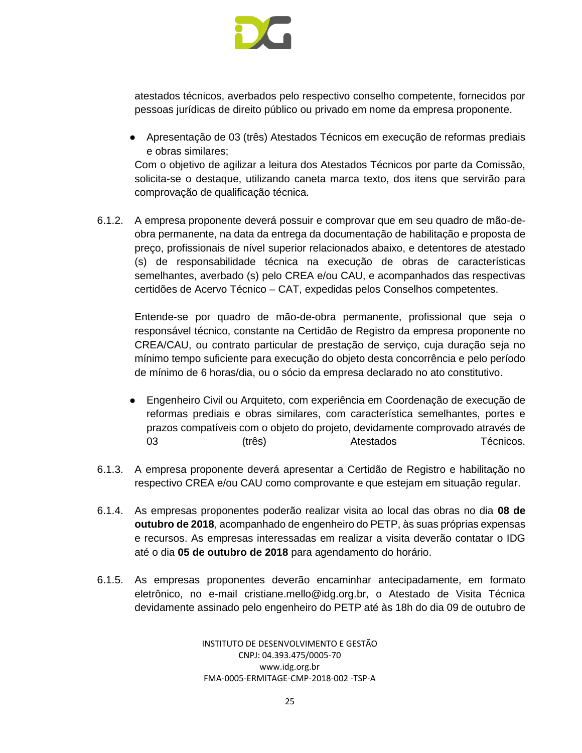

atestados técnicos, averbados pelo respectivo conselho competente, fornecidos por pessoas jurídicas de direito público ou privado em nome da empresa proponente.

● Apresentação de 03 (três) Atestados Técnicos em execução de reformas prediais e obras similares;

Com o objetivo de agilizar a leitura dos Atestados Técnicos por parte da Comissão, solicita-se o destaque, utilizando caneta marca texto, dos itens que servirão para comprovação de qualificação técnica.

6.1.2. A empresa proponente deverá possuir e comprovar que em seu quadro de mão-deobra permanente, na data da entrega da documentação de habilitação e proposta de preço, profissionais de nível superior relacionados abaixo, e detentores de atestado (s) de responsabilidade técnica na execução de obras de características semelhantes, averbado (s) pelo CREA e/ou CAU, e acompanhados das respectivas certidões de Acervo Técnico – CAT, expedidas pelos Conselhos competentes.

Entende-se por quadro de mão-de-obra permanente, profissional que seja o responsável técnico, constante na Certidão de Registro da empresa proponente no CREA/CAU, ou contrato particular de prestação de serviço, cuja duração seja no mínimo tempo suficiente para execução do objeto desta concorrência e pelo período de mínimo de 6 horas/dia, ou o sócio da empresa declarado no ato constitutivo.

- Engenheiro Civil ou Arquiteto, com experiência em Coordenação de execução de reformas prediais e obras similares, com característica semelhantes, portes e prazos compatíveis com o objeto do projeto, devidamente comprovado através de 03 (três) (três) Atestados Técnicos.
- 6.1.3. A empresa proponente deverá apresentar a Certidão de Registro e habilitação no respectivo CREA e/ou CAU como comprovante e que estejam em situação regular.
- 6.1.4. As empresas proponentes poderão realizar visita ao local das obras no dia **08 de outubro de 2018**, acompanhado de engenheiro do PETP, às suas próprias expensas e recursos. As empresas interessadas em realizar a visita deverão contatar o IDG até o dia **05 de outubro de 2018** para agendamento do horário.
- 6.1.5. As empresas proponentes deverão encaminhar antecipadamente, em formato eletrônico, no e-mail cristiane.mello@idg.org.br, o Atestado de Visita Técnica devidamente assinado pelo engenheiro do PETP até às 18h do dia 09 de outubro de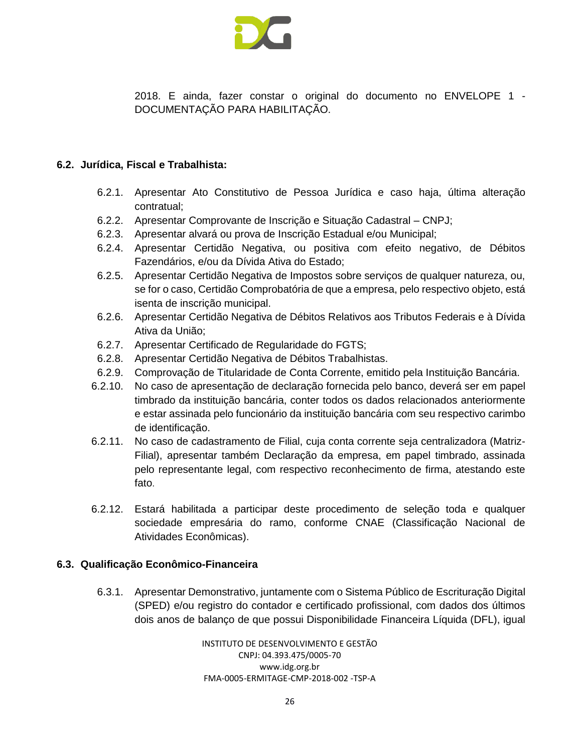

2018. E ainda, fazer constar o original do documento no ENVELOPE 1 - DOCUMENTAÇÃO PARA HABILITAÇÃO.

#### **6.2. Jurídica, Fiscal e Trabalhista:**

- 6.2.1. Apresentar Ato Constitutivo de Pessoa Jurídica e caso haja, última alteração contratual;
- 6.2.2. Apresentar Comprovante de Inscrição e Situação Cadastral CNPJ;
- 6.2.3. Apresentar alvará ou prova de Inscrição Estadual e/ou Municipal;
- 6.2.4. Apresentar Certidão Negativa, ou positiva com efeito negativo, de Débitos Fazendários, e/ou da Dívida Ativa do Estado;
- 6.2.5. Apresentar Certidão Negativa de Impostos sobre serviços de qualquer natureza, ou, se for o caso, Certidão Comprobatória de que a empresa, pelo respectivo objeto, está isenta de inscrição municipal.
- 6.2.6. Apresentar Certidão Negativa de Débitos Relativos aos Tributos Federais e à Dívida Ativa da União;
- 6.2.7. Apresentar Certificado de Regularidade do FGTS;
- 6.2.8. Apresentar Certidão Negativa de Débitos Trabalhistas.
- 6.2.9. Comprovação de Titularidade de Conta Corrente, emitido pela Instituição Bancária.
- 6.2.10. No caso de apresentação de declaração fornecida pelo banco, deverá ser em papel timbrado da instituição bancária, conter todos os dados relacionados anteriormente e estar assinada pelo funcionário da instituição bancária com seu respectivo carimbo de identificação.
- 6.2.11. No caso de cadastramento de Filial, cuja conta corrente seja centralizadora (Matriz-Filial), apresentar também Declaração da empresa, em papel timbrado, assinada pelo representante legal, com respectivo reconhecimento de firma, atestando este fato.
- 6.2.12. Estará habilitada a participar deste procedimento de seleção toda e qualquer sociedade empresária do ramo, conforme CNAE (Classificação Nacional de Atividades Econômicas).

#### **6.3. Qualificação Econômico-Financeira**

6.3.1. Apresentar Demonstrativo, juntamente com o Sistema Público de Escrituração Digital (SPED) e/ou registro do contador e certificado profissional, com dados dos últimos dois anos de balanço de que possui Disponibilidade Financeira Líquida (DFL), igual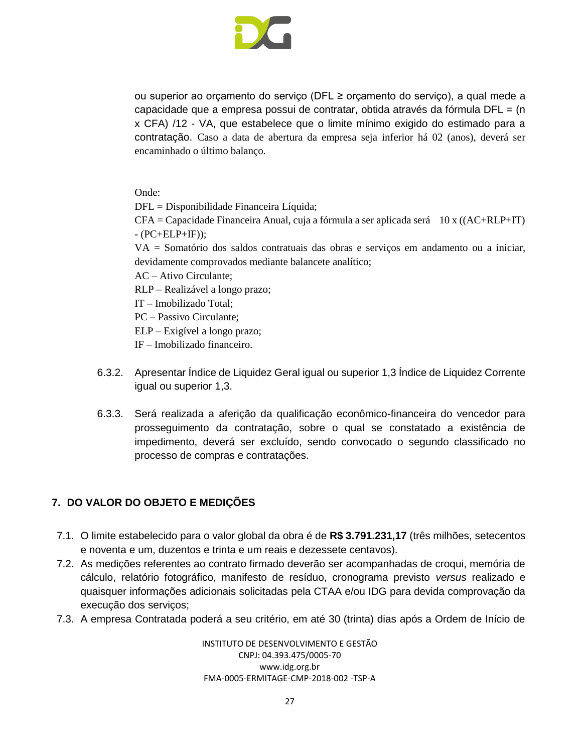

ou superior ao orçamento do serviço (DFL ≥ orçamento do serviço), a qual mede a capacidade que a empresa possui de contratar, obtida através da fórmula  $DFL = (n$ x CFA) /12 - VA, que estabelece que o limite mínimo exigido do estimado para a contratação. Caso a data de abertura da empresa seja inferior há 02 (anos), deverá ser encaminhado o último balanço.

Onde:

DFL = Disponibilidade Financeira Líquida;

 $CFA = Capacidade Financeira Anual, cuja a fórmula a ser aplicada será 10 x ((AC+RLP+IT))$  $- (PC+ELP+IF)$ ;

VA = Somatório dos saldos contratuais das obras e serviços em andamento ou a iniciar, devidamente comprovados mediante balancete analítico;

AC – Ativo Circulante;

RLP – Realizável a longo prazo;

IT – Imobilizado Total;

PC – Passivo Circulante;

ELP – Exigível a longo prazo;

IF – Imobilizado financeiro.

- 6.3.2. Apresentar Índice de Liquidez Geral igual ou superior 1,3 Índice de Liquidez Corrente igual ou superior 1,3.
- 6.3.3. Será realizada a aferição da qualificação econômico-financeira do vencedor para prosseguimento da contratação, sobre o qual se constatado a existência de impedimento, deverá ser excluído, sendo convocado o segundo classificado no processo de compras e contratações.

# <span id="page-26-0"></span>**7. DO VALOR DO OBJETO E MEDIÇÕES**

- 7.1. O limite estabelecido para o valor global da obra é de **R\$ 3.791.231,17** (três milhões, setecentos e noventa e um, duzentos e trinta e um reais e dezessete centavos).
- 7.2. As medições referentes ao contrato firmado deverão ser acompanhadas de croqui, memória de cálculo, relatório fotográfico, manifesto de resíduo, cronograma previsto *versus* realizado e quaisquer informações adicionais solicitadas pela CTAA e/ou IDG para devida comprovação da execução dos serviços;
- 7.3. A empresa Contratada poderá a seu critério, em até 30 (trinta) dias após a Ordem de Início de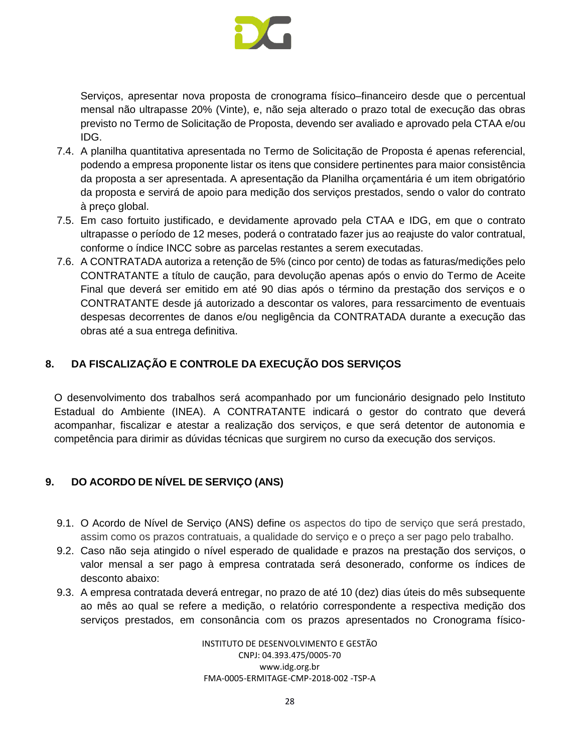

Serviços, apresentar nova proposta de cronograma físico–financeiro desde que o percentual mensal não ultrapasse 20% (Vinte), e, não seja alterado o prazo total de execução das obras previsto no Termo de Solicitação de Proposta, devendo ser avaliado e aprovado pela CTAA e/ou IDG.

- 7.4. A planilha quantitativa apresentada no Termo de Solicitação de Proposta é apenas referencial, podendo a empresa proponente listar os itens que considere pertinentes para maior consistência da proposta a ser apresentada. A apresentação da Planilha orçamentária é um item obrigatório da proposta e servirá de apoio para medição dos serviços prestados, sendo o valor do contrato à preço global.
- 7.5. Em caso fortuito justificado, e devidamente aprovado pela CTAA e IDG, em que o contrato ultrapasse o período de 12 meses, poderá o contratado fazer jus ao reajuste do valor contratual, conforme o índice INCC sobre as parcelas restantes a serem executadas.
- 7.6. A CONTRATADA autoriza a retenção de 5% (cinco por cento) de todas as faturas/medições pelo CONTRATANTE a título de caução, para devolução apenas após o envio do Termo de Aceite Final que deverá ser emitido em até 90 dias após o término da prestação dos serviços e o CONTRATANTE desde já autorizado a descontar os valores, para ressarcimento de eventuais despesas decorrentes de danos e/ou negligência da CONTRATADA durante a execução das obras até a sua entrega definitiva.

# <span id="page-27-0"></span>**8. DA FISCALIZAÇÃO E CONTROLE DA EXECUÇÃO DOS SERVIÇOS**

O desenvolvimento dos trabalhos será acompanhado por um funcionário designado pelo Instituto Estadual do Ambiente (INEA). A CONTRATANTE indicará o gestor do contrato que deverá acompanhar, fiscalizar e atestar a realização dos serviços, e que será detentor de autonomia e competência para dirimir as dúvidas técnicas que surgirem no curso da execução dos serviços.

# <span id="page-27-1"></span>**9. DO ACORDO DE NÍVEL DE SERVIÇO (ANS)**

- 9.1. O Acordo de Nível de Serviço (ANS) define os aspectos do tipo de serviço que será prestado, assim como os prazos contratuais, a qualidade do serviço e o preço a ser pago pelo trabalho.
- 9.2. Caso não seja atingido o nível esperado de qualidade e prazos na prestação dos serviços, o valor mensal a ser pago à empresa contratada será desonerado, conforme os índices de desconto abaixo:
- 9.3. A empresa contratada deverá entregar, no prazo de até 10 (dez) dias úteis do mês subsequente ao mês ao qual se refere a medição, o relatório correspondente a respectiva medição dos serviços prestados, em consonância com os prazos apresentados no Cronograma físico-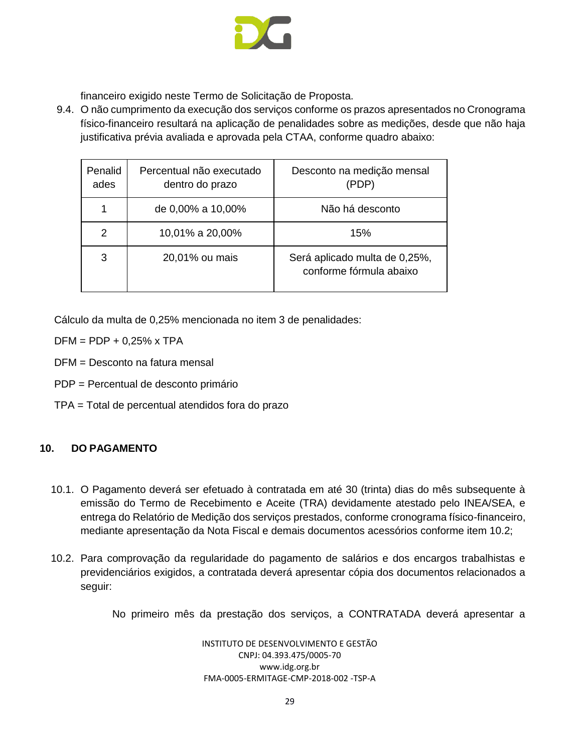

financeiro exigido neste Termo de Solicitação de Proposta.

9.4. O não cumprimento da execução dos serviços conforme os prazos apresentados no Cronograma físico-financeiro resultará na aplicação de penalidades sobre as medições, desde que não haja justificativa prévia avaliada e aprovada pela CTAA, conforme quadro abaixo:

| Penalid<br>ades | Percentual não executado<br>dentro do prazo | Desconto na medição mensal<br>(PDP)                      |
|-----------------|---------------------------------------------|----------------------------------------------------------|
|                 | de 0,00% a 10,00%                           | Não há desconto                                          |
| 2               | 10,01% a 20,00%                             | 15%                                                      |
| 3               | 20,01% ou mais                              | Será aplicado multa de 0,25%,<br>conforme fórmula abaixo |

Cálculo da multa de 0,25% mencionada no item 3 de penalidades:

 $DFM = PDP + 0,25\% \times TPA$ 

DFM = Desconto na fatura mensal

- PDP = Percentual de desconto primário
- TPA = Total de percentual atendidos fora do prazo

# <span id="page-28-0"></span>**10. DO PAGAMENTO**

- 10.1. O Pagamento deverá ser efetuado à contratada em até 30 (trinta) dias do mês subsequente à emissão do Termo de Recebimento e Aceite (TRA) devidamente atestado pelo INEA/SEA, e entrega do Relatório de Medição dos serviços prestados, conforme cronograma físico-financeiro, mediante apresentação da Nota Fiscal e demais documentos acessórios conforme item 10.2;
- 10.2. Para comprovação da regularidade do pagamento de salários e dos encargos trabalhistas e previdenciários exigidos, a contratada deverá apresentar cópia dos documentos relacionados a seguir:

No primeiro mês da prestação dos serviços, a CONTRATADA deverá apresentar a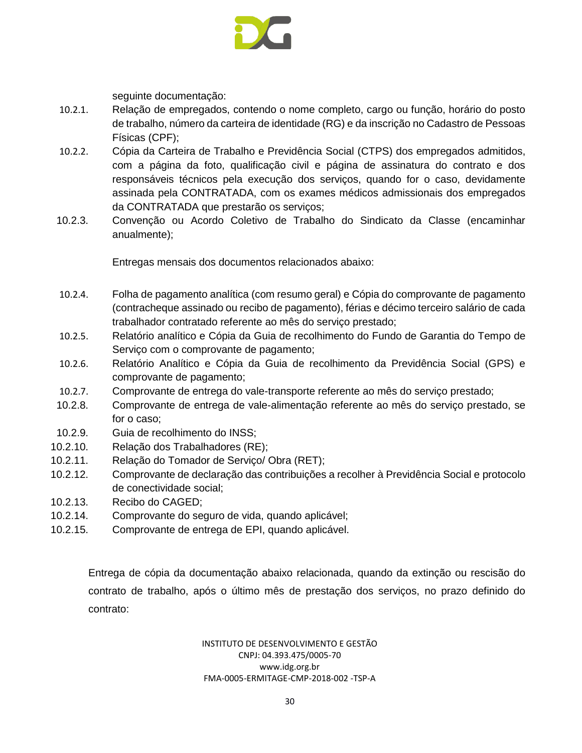

seguinte documentação:

- 10.2.1. Relação de empregados, contendo o nome completo, cargo ou função, horário do posto de trabalho, número da carteira de identidade (RG) e da inscrição no Cadastro de Pessoas Físicas (CPF);
- 10.2.2. Cópia da Carteira de Trabalho e Previdência Social (CTPS) dos empregados admitidos, com a página da foto, qualificação civil e página de assinatura do contrato e dos responsáveis técnicos pela execução dos serviços, quando for o caso, devidamente assinada pela CONTRATADA, com os exames médicos admissionais dos empregados da CONTRATADA que prestarão os serviços;
- 10.2.3. Convenção ou Acordo Coletivo de Trabalho do Sindicato da Classe (encaminhar anualmente);

Entregas mensais dos documentos relacionados abaixo:

- 10.2.4. Folha de pagamento analítica (com resumo geral) e Cópia do comprovante de pagamento (contracheque assinado ou recibo de pagamento), férias e décimo terceiro salário de cada trabalhador contratado referente ao mês do serviço prestado;
- 10.2.5. Relatório analítico e Cópia da Guia de recolhimento do Fundo de Garantia do Tempo de Serviço com o comprovante de pagamento;
- 10.2.6. Relatório Analítico e Cópia da Guia de recolhimento da Previdência Social (GPS) e comprovante de pagamento;
- 10.2.7. Comprovante de entrega do vale-transporte referente ao mês do serviço prestado;
- 10.2.8. Comprovante de entrega de vale-alimentação referente ao mês do serviço prestado, se for o caso;
- 10.2.9. Guia de recolhimento do INSS;
- 10.2.10. Relação dos Trabalhadores (RE);
- 10.2.11. Relação do Tomador de Serviço/ Obra (RET);
- 10.2.12. Comprovante de declaração das contribuições a recolher à Previdência Social e protocolo de conectividade social;
- 10.2.13. Recibo do CAGED;
- 10.2.14. Comprovante do seguro de vida, quando aplicável;
- 10.2.15. Comprovante de entrega de EPI, quando aplicável.

Entrega de cópia da documentação abaixo relacionada, quando da extinção ou rescisão do contrato de trabalho, após o último mês de prestação dos serviços, no prazo definido do contrato: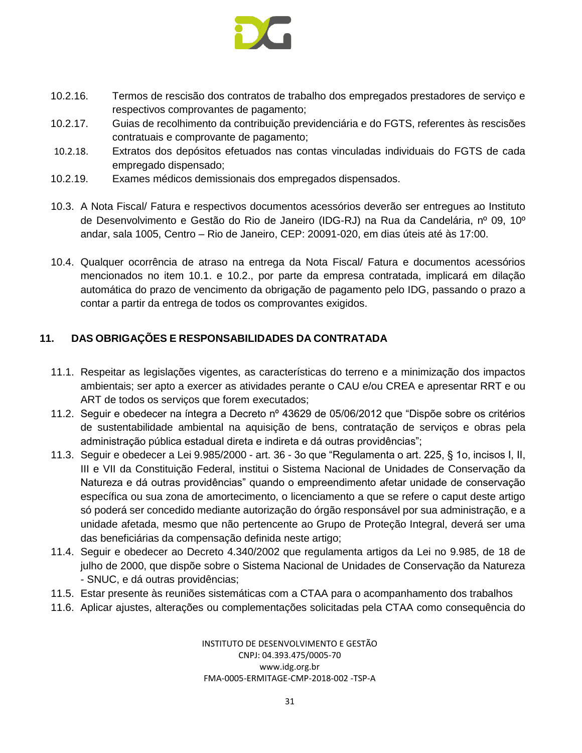

- 10.2.16. Termos de rescisão dos contratos de trabalho dos empregados prestadores de serviço e respectivos comprovantes de pagamento;
- 10.2.17. Guias de recolhimento da contribuição previdenciária e do FGTS, referentes às rescisões contratuais e comprovante de pagamento;
- 10.2.18. Extratos dos depósitos efetuados nas contas vinculadas individuais do FGTS de cada empregado dispensado;
- 10.2.19. Exames médicos demissionais dos empregados dispensados.
- 10.3. A Nota Fiscal/ Fatura e respectivos documentos acessórios deverão ser entregues ao Instituto de Desenvolvimento e Gestão do Rio de Janeiro (IDG-RJ) na Rua da Candelária, nº 09, 10º andar, sala 1005, Centro – Rio de Janeiro, CEP: 20091-020, em dias úteis até às 17:00.
- 10.4. Qualquer ocorrência de atraso na entrega da Nota Fiscal/ Fatura e documentos acessórios mencionados no item 10.1. e 10.2., por parte da empresa contratada, implicará em dilação automática do prazo de vencimento da obrigação de pagamento pelo IDG, passando o prazo a contar a partir da entrega de todos os comprovantes exigidos.

# <span id="page-30-0"></span>**11. DAS OBRIGAÇÕES E RESPONSABILIDADES DA CONTRATADA**

- 11.1. Respeitar as legislações vigentes, as características do terreno e a minimização dos impactos ambientais; ser apto a exercer as atividades perante o CAU e/ou CREA e apresentar RRT e ou ART de todos os serviços que forem executados;
- 11.2. Seguir e obedecer na íntegra a Decreto nº 43629 de 05/06/2012 que "Dispõe sobre os critérios de sustentabilidade ambiental na aquisição de bens, contratação de serviços e obras pela administração pública estadual direta e indireta e dá outras providências";
- 11.3. Seguir e obedecer a Lei 9.985/2000 art. 36 3o que "Regulamenta o art. 225, § 1o, incisos I, II, III e VII da Constituição Federal, institui o Sistema Nacional de Unidades de Conservação da Natureza e dá outras providências" quando o empreendimento afetar unidade de conservação específica ou sua zona de amortecimento, o licenciamento a que se refere o caput deste artigo só poderá ser concedido mediante autorização do órgão responsável por sua administração, e a unidade afetada, mesmo que não pertencente ao Grupo de Proteção Integral, deverá ser uma das beneficiárias da compensação definida neste artigo;
- 11.4. Seguir e obedecer ao Decreto 4.340/2002 que regulamenta artigos da Lei no 9.985, de 18 de julho de 2000, que dispõe sobre o Sistema Nacional de Unidades de Conservação da Natureza - SNUC, e dá outras providências;
- 11.5. Estar presente às reuniões sistemáticas com a CTAA para o acompanhamento dos trabalhos
- 11.6. Aplicar ajustes, alterações ou complementações solicitadas pela CTAA como consequência do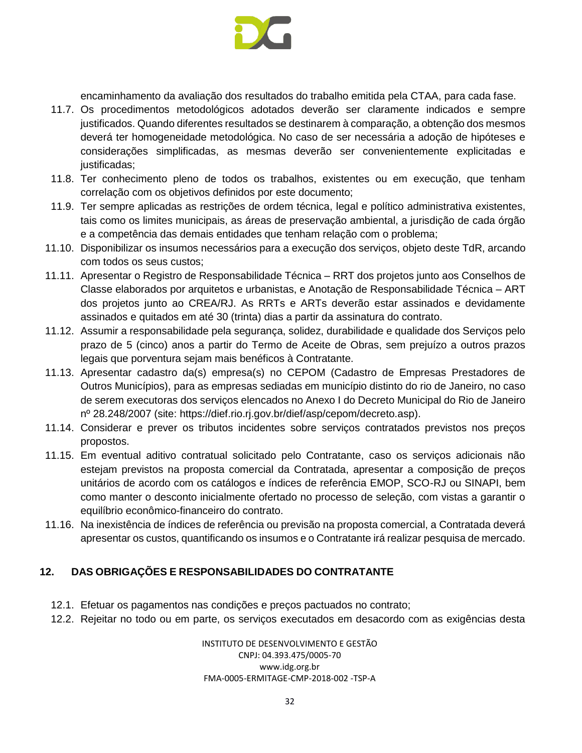

encaminhamento da avaliação dos resultados do trabalho emitida pela CTAA, para cada fase.

- 11.7. Os procedimentos metodológicos adotados deverão ser claramente indicados e sempre justificados. Quando diferentes resultados se destinarem à comparação, a obtenção dos mesmos deverá ter homogeneidade metodológica. No caso de ser necessária a adoção de hipóteses e considerações simplificadas, as mesmas deverão ser convenientemente explicitadas e justificadas;
- 11.8. Ter conhecimento pleno de todos os trabalhos, existentes ou em execução, que tenham correlação com os objetivos definidos por este documento;
- 11.9. Ter sempre aplicadas as restrições de ordem técnica, legal e político administrativa existentes, tais como os limites municipais, as áreas de preservação ambiental, a jurisdição de cada órgão e a competência das demais entidades que tenham relação com o problema;
- 11.10. Disponibilizar os insumos necessários para a execução dos serviços, objeto deste TdR, arcando com todos os seus custos;
- 11.11. Apresentar o Registro de Responsabilidade Técnica RRT dos projetos junto aos Conselhos de Classe elaborados por arquitetos e urbanistas, e Anotação de Responsabilidade Técnica – ART dos projetos junto ao CREA/RJ. As RRTs e ARTs deverão estar assinados e devidamente assinados e quitados em até 30 (trinta) dias a partir da assinatura do contrato.
- 11.12. Assumir a responsabilidade pela segurança, solidez, durabilidade e qualidade dos Serviços pelo prazo de 5 (cinco) anos a partir do Termo de Aceite de Obras, sem prejuízo a outros prazos legais que porventura sejam mais benéficos à Contratante.
- 11.13. Apresentar cadastro da(s) empresa(s) no CEPOM (Cadastro de Empresas Prestadores de Outros Municípios), para as empresas sediadas em município distinto do rio de Janeiro, no caso de serem executoras dos serviços elencados no Anexo I do Decreto Municipal do Rio de Janeiro nº 28.248/2007 (site: [https://dief.rio.rj.gov.br/dief/asp/cepom/decreto.asp\)](https://dief.rio.rj.gov.br/dief/asp/cepom/decreto.asp).
- 11.14. Considerar e prever os tributos incidentes sobre serviços contratados previstos nos preços propostos.
- 11.15. Em eventual aditivo contratual solicitado pelo Contratante, caso os serviços adicionais não estejam previstos na proposta comercial da Contratada, apresentar a composição de preços unitários de acordo com os catálogos e índices de referência EMOP, SCO-RJ ou SINAPI, bem como manter o desconto inicialmente ofertado no processo de seleção, com vistas a garantir o equilíbrio econômico-financeiro do contrato.
- 11.16. Na inexistência de índices de referência ou previsão na proposta comercial, a Contratada deverá apresentar os custos, quantificando os insumos e o Contratante irá realizar pesquisa de mercado.

# <span id="page-31-0"></span>**12. DAS OBRIGAÇÕES E RESPONSABILIDADES DO CONTRATANTE**

- 12.1. Efetuar os pagamentos nas condições e preços pactuados no contrato;
- 12.2. Rejeitar no todo ou em parte, os serviços executados em desacordo com as exigências desta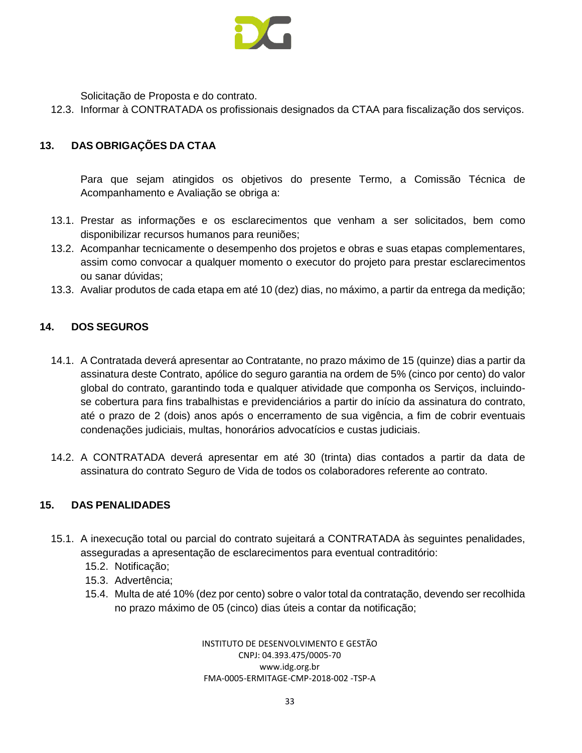

Solicitação de Proposta e do contrato.

12.3. Informar à CONTRATADA os profissionais designados da CTAA para fiscalização dos serviços.

# <span id="page-32-0"></span>**13. DAS OBRIGAÇÕES DA CTAA**

Para que sejam atingidos os objetivos do presente Termo, a Comissão Técnica de Acompanhamento e Avaliação se obriga a:

- 13.1. Prestar as informações e os esclarecimentos que venham a ser solicitados, bem como disponibilizar recursos humanos para reuniões;
- 13.2. Acompanhar tecnicamente o desempenho dos projetos e obras e suas etapas complementares, assim como convocar a qualquer momento o executor do projeto para prestar esclarecimentos ou sanar dúvidas;
- 13.3. Avaliar produtos de cada etapa em até 10 (dez) dias, no máximo, a partir da entrega da medição;

#### <span id="page-32-1"></span>**14. DOS SEGUROS**

- 14.1. A Contratada deverá apresentar ao Contratante, no prazo máximo de 15 (quinze) dias a partir da assinatura deste Contrato, apólice do seguro garantia na ordem de 5% (cinco por cento) do valor global do contrato, garantindo toda e qualquer atividade que componha os Serviços, incluindose cobertura para fins trabalhistas e previdenciários a partir do início da assinatura do contrato, até o prazo de 2 (dois) anos após o encerramento de sua vigência, a fim de cobrir eventuais condenações judiciais, multas, honorários advocatícios e custas judiciais.
- 14.2. A CONTRATADA deverá apresentar em até 30 (trinta) dias contados a partir da data de assinatura do contrato Seguro de Vida de todos os colaboradores referente ao contrato.

#### <span id="page-32-2"></span>**15. DAS PENALIDADES**

- 15.1. A inexecução total ou parcial do contrato sujeitará a CONTRATADA às seguintes penalidades, asseguradas a apresentação de esclarecimentos para eventual contraditório:
	- 15.2. Notificação;
	- 15.3. Advertência;
	- 15.4. Multa de até 10% (dez por cento) sobre o valor total da contratação, devendo ser recolhida no prazo máximo de 05 (cinco) dias úteis a contar da notificação;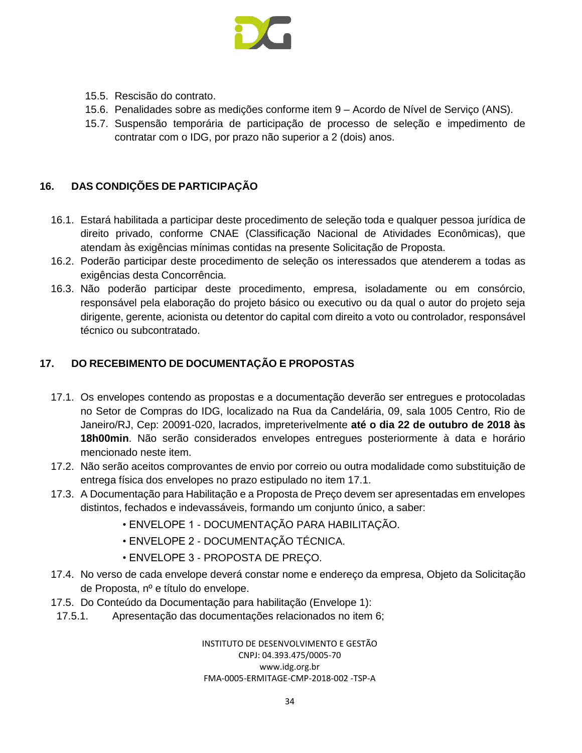

- 15.5. Rescisão do contrato.
- 15.6. Penalidades sobre as medições conforme item 9 Acordo de Nível de Serviço (ANS).
- 15.7. Suspensão temporária de participação de processo de seleção e impedimento de contratar com o IDG, por prazo não superior a 2 (dois) anos.

#### <span id="page-33-0"></span>**16. DAS CONDIÇÕES DE PARTICIPAÇÃO**

- 16.1. Estará habilitada a participar deste procedimento de seleção toda e qualquer pessoa jurídica de direito privado, conforme CNAE (Classificação Nacional de Atividades Econômicas), que atendam às exigências mínimas contidas na presente Solicitação de Proposta.
- 16.2. Poderão participar deste procedimento de seleção os interessados que atenderem a todas as exigências desta Concorrência.
- 16.3. Não poderão participar deste procedimento, empresa, isoladamente ou em consórcio, responsável pela elaboração do projeto básico ou executivo ou da qual o autor do projeto seja dirigente, gerente, acionista ou detentor do capital com direito a voto ou controlador, responsável técnico ou subcontratado.

# <span id="page-33-1"></span>**17. DO RECEBIMENTO DE DOCUMENTAÇÃO E PROPOSTAS**

- 17.1. Os envelopes contendo as propostas e a documentação deverão ser entregues e protocoladas no Setor de Compras do IDG, localizado na Rua da Candelária, 09, sala 1005 Centro, Rio de Janeiro/RJ, Cep: 20091-020, lacrados, impreterivelmente **até o dia 22 de outubro de 2018 às 18h00min**. Não serão considerados envelopes entregues posteriormente à data e horário mencionado neste item.
- 17.2. Não serão aceitos comprovantes de envio por correio ou outra modalidade como substituição de entrega física dos envelopes no prazo estipulado no item 17.1.
- 17.3. A Documentação para Habilitação e a Proposta de Preço devem ser apresentadas em envelopes distintos, fechados e indevassáveis, formando um conjunto único, a saber:
	- ENVELOPE 1 DOCUMENTAÇÃO PARA HABILITAÇÃO.
	- ENVELOPE 2 DOCUMENTAÇÃO TÉCNICA.
	- ENVELOPE 3 PROPOSTA DE PREÇO.
- 17.4. No verso de cada envelope deverá constar nome e endereço da empresa, Objeto da Solicitação de Proposta, nº e título do envelope.
- 17.5. Do Conteúdo da Documentação para habilitação (Envelope 1):
- 17.5.1. Apresentação das documentações relacionados no item 6;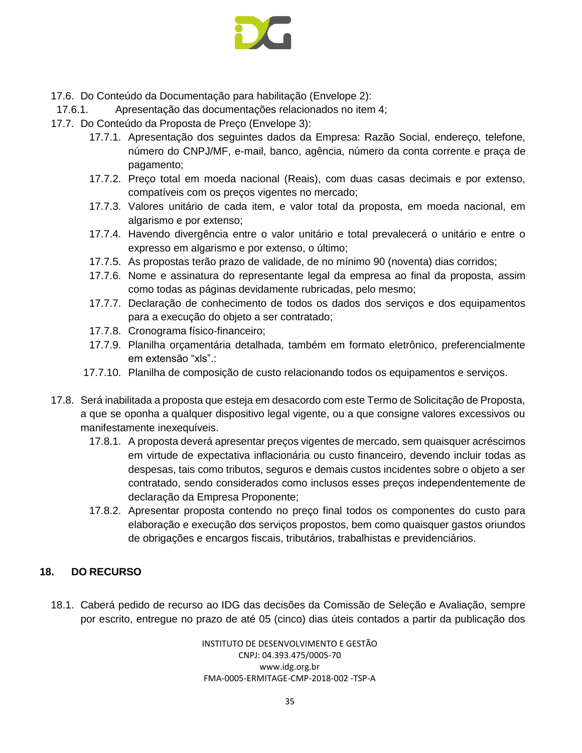

- 17.6. Do Conteúdo da Documentação para habilitação (Envelope 2):
- 17.6.1. Apresentação das documentações relacionados no item 4;
- 17.7. Do Conteúdo da Proposta de Preço (Envelope 3):
	- 17.7.1. Apresentação dos seguintes dados da Empresa: Razão Social, endereço, telefone, número do CNPJ/MF, e-mail, banco, agência, número da conta corrente e praça de pagamento;
	- 17.7.2. Preço total em moeda nacional (Reais), com duas casas decimais e por extenso, compatíveis com os preços vigentes no mercado;
	- 17.7.3. Valores unitário de cada item, e valor total da proposta, em moeda nacional, em algarismo e por extenso;
	- 17.7.4. Havendo divergência entre o valor unitário e total prevalecerá o unitário e entre o expresso em algarismo e por extenso, o último;
	- 17.7.5. As propostas terão prazo de validade, de no mínimo 90 (noventa) dias corridos;
	- 17.7.6. Nome e assinatura do representante legal da empresa ao final da proposta, assim como todas as páginas devidamente rubricadas, pelo mesmo;
	- 17.7.7. Declaração de conhecimento de todos os dados dos serviços e dos equipamentos para a execução do objeto a ser contratado;
	- 17.7.8. Cronograma físico-financeiro;
	- 17.7.9. Planilha orçamentária detalhada, também em formato eletrônico, preferencialmente em extensão "xls".:
	- 17.7.10. Planilha de composição de custo relacionando todos os equipamentos e serviços.
- 17.8. Será inabilitada a proposta que esteja em desacordo com este Termo de Solicitação de Proposta, a que se oponha a qualquer dispositivo legal vigente, ou a que consigne valores excessivos ou manifestamente inexequíveis.
	- 17.8.1. A proposta deverá apresentar preços vigentes de mercado, sem quaisquer acréscimos em virtude de expectativa inflacionária ou custo financeiro, devendo incluir todas as despesas, tais como tributos, seguros e demais custos incidentes sobre o objeto a ser contratado, sendo considerados como inclusos esses preços independentemente de declaração da Empresa Proponente;
	- 17.8.2. Apresentar proposta contendo no preço final todos os componentes do custo para elaboração e execução dos serviços propostos, bem como quaisquer gastos oriundos de obrigações e encargos fiscais, tributários, trabalhistas e previdenciários.

# <span id="page-34-0"></span>**18. DO RECURSO**

18.1. Caberá pedido de recurso ao IDG das decisões da Comissão de Seleção e Avaliação, sempre por escrito, entregue no prazo de até 05 (cinco) dias úteis contados a partir da publicação dos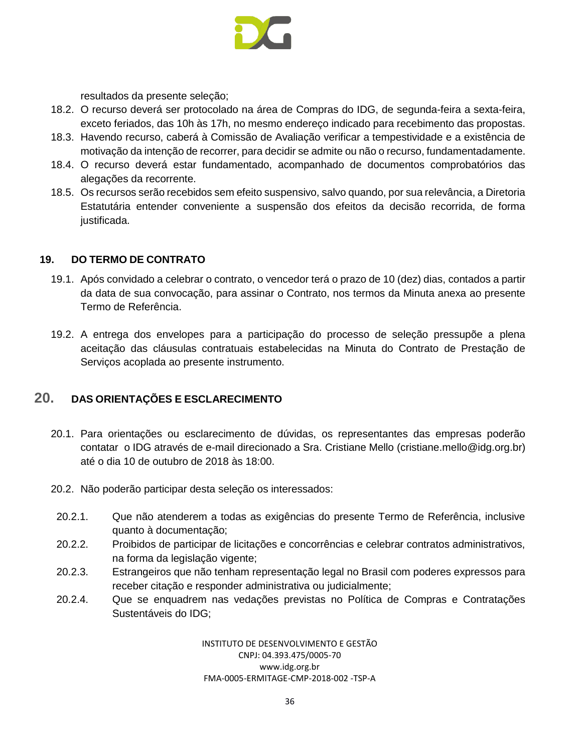

resultados da presente seleção;

- 18.2. O recurso deverá ser protocolado na área de Compras do IDG, de segunda-feira a sexta-feira, exceto feriados, das 10h às 17h, no mesmo endereço indicado para recebimento das propostas.
- 18.3. Havendo recurso, caberá à Comissão de Avaliação verificar a tempestividade e a existência de motivação da intenção de recorrer, para decidir se admite ou não o recurso, fundamentadamente.
- 18.4. O recurso deverá estar fundamentado, acompanhado de documentos comprobatórios das alegações da recorrente.
- 18.5. Os recursos serão recebidos sem efeito suspensivo, salvo quando, por sua relevância, a Diretoria Estatutária entender conveniente a suspensão dos efeitos da decisão recorrida, de forma justificada.

#### <span id="page-35-0"></span>**19. DO TERMO DE CONTRATO**

- 19.1. Após convidado a celebrar o contrato, o vencedor terá o prazo de 10 (dez) dias, contados a partir da data de sua convocação, para assinar o Contrato, nos termos da Minuta anexa ao presente Termo de Referência.
- 19.2. A entrega dos envelopes para a participação do processo de seleção pressupõe a plena aceitação das cláusulas contratuais estabelecidas na Minuta do Contrato de Prestação de Serviços acoplada ao presente instrumento.

# <span id="page-35-1"></span>**20. DAS ORIENTAÇÕES E ESCLARECIMENTO**

- 20.1. Para orientações ou esclarecimento de dúvidas, os representantes das empresas poderão contatar o IDG através de e-mail direcionado a Sra. Cristiane Mello (cristiane.mell[o@idg.org.br\)](mailto:cristiane.mello@idg.org.br) até o dia 10 de outubro de 2018 às 18:00.
- 20.2. Não poderão participar desta seleção os interessados:
	- 20.2.1. Que não atenderem a todas as exigências do presente Termo de Referência, inclusive quanto à documentação;
	- 20.2.2. Proibidos de participar de licitações e concorrências e celebrar contratos administrativos, na forma da legislação vigente;
	- 20.2.3. Estrangeiros que não tenham representação legal no Brasil com poderes expressos para receber citação e responder administrativa ou judicialmente;
	- 20.2.4. Que se enquadrem nas vedações previstas no Política de Compras e Contratações Sustentáveis do IDG;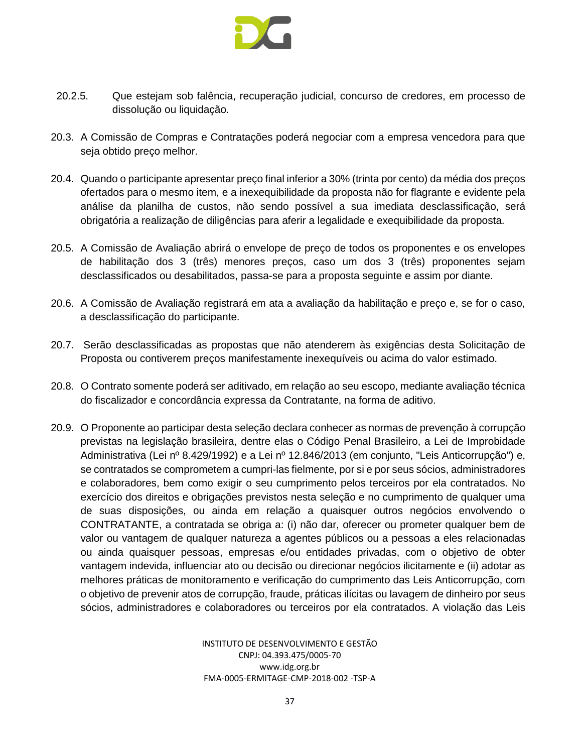

- 20.2.5. Que estejam sob falência, recuperação judicial, concurso de credores, em processo de dissolução ou liquidação.
- 20.3. A Comissão de Compras e Contratações poderá negociar com a empresa vencedora para que seja obtido preço melhor.
- 20.4. Quando o participante apresentar preço final inferior a 30% (trinta por cento) da média dos preços ofertados para o mesmo item, e a inexequibilidade da proposta não for flagrante e evidente pela análise da planilha de custos, não sendo possível a sua imediata desclassificação, será obrigatória a realização de diligências para aferir a legalidade e exequibilidade da proposta.
- 20.5. A Comissão de Avaliação abrirá o envelope de preço de todos os proponentes e os envelopes de habilitação dos 3 (três) menores preços, caso um dos 3 (três) proponentes sejam desclassificados ou desabilitados, passa-se para a proposta seguinte e assim por diante.
- 20.6. A Comissão de Avaliação registrará em ata a avaliação da habilitação e preço e, se for o caso, a desclassificação do participante.
- 20.7. Serão desclassificadas as propostas que não atenderem às exigências desta Solicitação de Proposta ou contiverem preços manifestamente inexequíveis ou acima do valor estimado.
- 20.8. O Contrato somente poderá ser aditivado, em relação ao seu escopo, mediante avaliação técnica do fiscalizador e concordância expressa da Contratante, na forma de aditivo.
- 20.9. O Proponente ao participar desta seleção declara conhecer as normas de prevenção à corrupção previstas na legislação brasileira, dentre elas o Código Penal Brasileiro, a Lei de Improbidade Administrativa (Lei nº 8.429/1992) e a Lei nº 12.846/2013 (em conjunto, "Leis Anticorrupção") e, se contratados se comprometem a cumpri-las fielmente, por si e por seus sócios, administradores e colaboradores, bem como exigir o seu cumprimento pelos terceiros por ela contratados. No exercício dos direitos e obrigações previstos nesta seleção e no cumprimento de qualquer uma de suas disposições, ou ainda em relação a quaisquer outros negócios envolvendo o CONTRATANTE, a contratada se obriga a: (i) não dar, oferecer ou prometer qualquer bem de valor ou vantagem de qualquer natureza a agentes públicos ou a pessoas a eles relacionadas ou ainda quaisquer pessoas, empresas e/ou entidades privadas, com o objetivo de obter vantagem indevida, influenciar ato ou decisão ou direcionar negócios ilicitamente e (ii) adotar as melhores práticas de monitoramento e verificação do cumprimento das Leis Anticorrupção, com o objetivo de prevenir atos de corrupção, fraude, práticas ilícitas ou lavagem de dinheiro por seus sócios, administradores e colaboradores ou terceiros por ela contratados. A violação das Leis